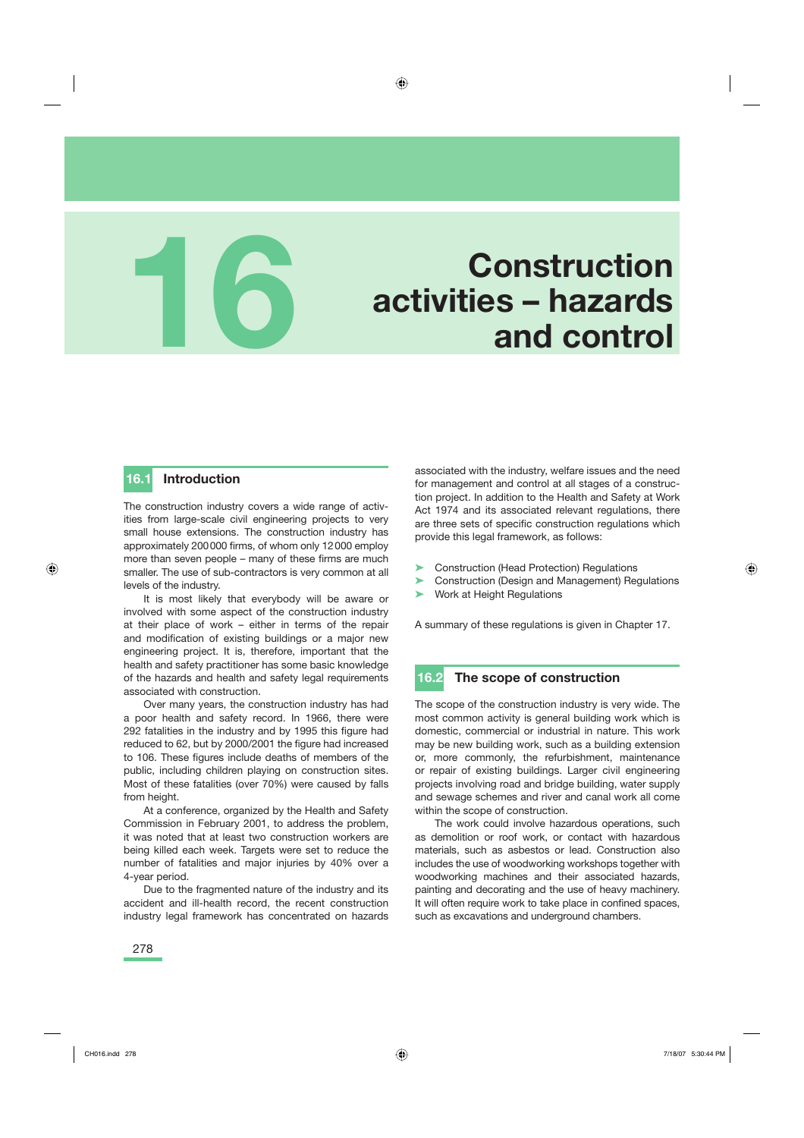# **activities – hazards activities – hazards 16 Construction**<br> **16 Construction**<br> **16 Construction**<br> **16 Construction**<br> **16 Construction and control**

◈

# **16.1 Introduction**

⊕

The construction industry covers a wide range of activities from large-scale civil engineering projects to very small house extensions. The construction industry has approximately 200 000 firms, of whom only 12000 employ more than seven people – many of these firms are much smaller. The use of sub-contractors is very common at all levels of the industry.

**Construction** 

**and control**

It is most likely that everybody will be aware or involved with some aspect of the construction industry at their place of work – either in terms of the repair and modification of existing buildings or a major new engineering project. It is, therefore, important that the health and safety practitioner has some basic knowledge of the hazards and health and safety legal requirements associated with construction.

Over many years, the construction industry has had a poor health and safety record. In 1966, there were 292 fatalities in the industry and by 1995 this figure had reduced to 62, but by 2000/2001 the figure had increased to 106. These figures include deaths of members of the public, including children playing on construction sites. Most of these fatalities (over 70%) were caused by falls from height.

At a conference, organized by the Health and Safety Commission in February 2001, to address the problem, it was noted that at least two construction workers are being killed each week. Targets were set to reduce the number of fatalities and major injuries by 40% over a 4-year period.

Due to the fragmented nature of the industry and its accident and ill-health record, the recent construction industry legal framework has concentrated on hazards associated with the industry, welfare issues and the need for management and control at all stages of a construction project. In addition to the Health and Safety at Work Act 1974 and its associated relevant regulations, there are three sets of specific construction regulations which provide this legal framework, as follows:

- ➤ Construction (Head Protection) Regulations
- ➤ Construction (Design and Management) Regulations
- ➤ Work at Height Regulations

A summary of these regulations is given in Chapter 17.

# **16.2 The scope of construction**

The scope of the construction industry is very wide. The most common activity is general building work which is domestic, commercial or industrial in nature. This work may be new building work, such as a building extension or, more commonly, the refurbishment, maintenance or repair of existing buildings. Larger civil engineering projects involving road and bridge building, water supply and sewage schemes and river and canal work all come within the scope of construction.

The work could involve hazardous operations, such as demolition or roof work, or contact with hazardous materials, such as asbestos or lead. Construction also includes the use of woodworking workshops together with woodworking machines and their associated hazards, painting and decorating and the use of heavy machinery. It will often require work to take place in confined spaces, such as excavations and underground chambers.

278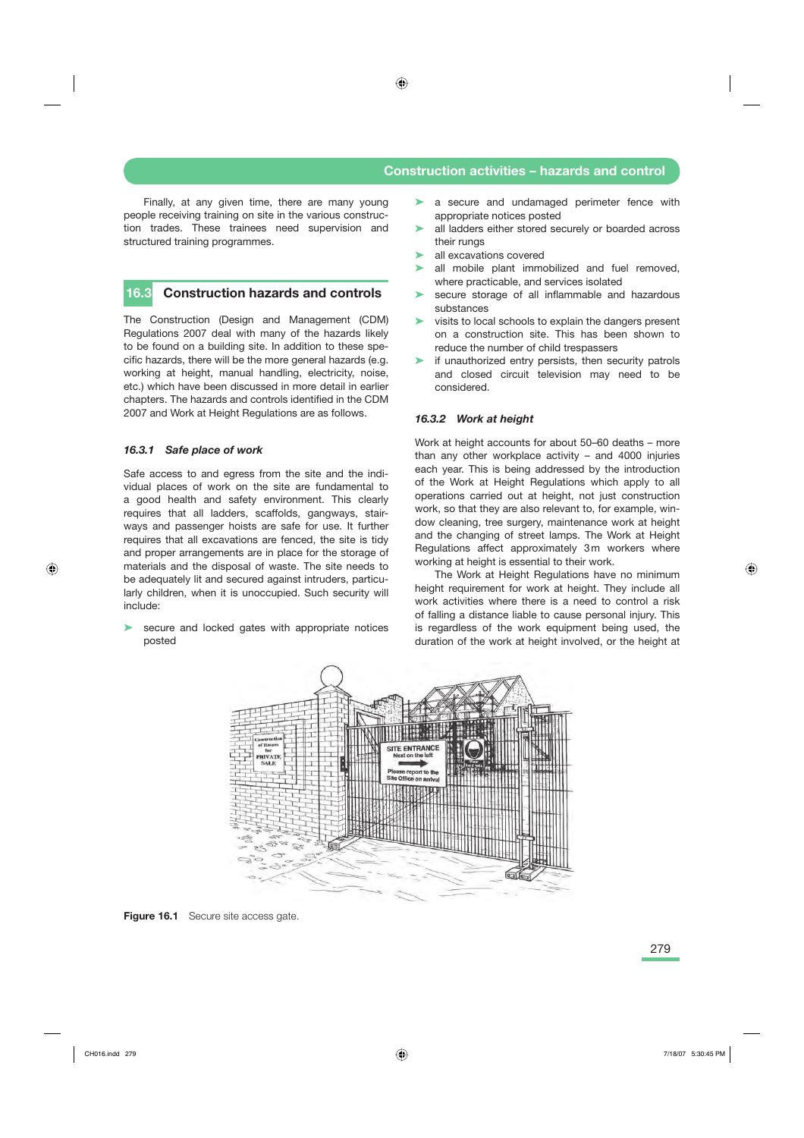Finally, at any given time, there are many young people receiving training on site in the various construction trades. These trainees need supervision and structured training programmes.

# **16.3 Construction hazards and controls**

The Construction (Design and Management (CDM) Regulations 2007 deal with many of the hazards likely to be found on a building site. In addition to these specific hazards, there will be the more general hazards (e.g. working at height, manual handling, electricity, noise, etc.) which have been discussed in more detail in earlier chapters. The hazards and controls identified in the CDM 2007 and Work at Height Regulations are as follows.

## *16.3.1 Safe place of work*

Safe access to and egress from the site and the individual places of work on the site are fundamental to a good health and safety environment. This clearly requires that all ladders, scaffolds, gangways, stairways and passenger hoists are safe for use. It further requires that all excavations are fenced, the site is tidy and proper arrangements are in place for the storage of materials and the disposal of waste. The site needs to be adequately lit and secured against intruders, particularly children, when it is unoccupied. Such security will include:

➤ secure and locked gates with appropriate notices posted

- a secure and undamaged perimeter fence with appropriate notices posted
- all ladders either stored securely or boarded across their rungs
- all excavations covered

◈

- all mobile plant immobilized and fuel removed, where practicable, and services isolated
- secure storage of all inflammable and hazardous substances
- visits to local schools to explain the dangers present on a construction site. This has been shown to reduce the number of child trespassers
- if unauthorized entry persists, then security patrols and closed circuit television may need to be considered.

## *16.3.2 Work at height*

Work at height accounts for about 50–60 deaths – more than any other workplace activity – and 4000 injuries each year. This is being addressed by the introduction of the Work at Height Regulations which apply to all operations carried out at height, not just construction work, so that they are also relevant to, for example, window cleaning, tree surgery, maintenance work at height and the changing of street lamps. The Work at Height Regulations affect approximately 3 m workers where working at height is essential to their work.

The Work at Height Regulations have no minimum height requirement for work at height. They include all work activities where there is a need to control a risk of falling a distance liable to cause personal injury. This is regardless of the work equipment being used, the duration of the work at height involved, or the height at



Figure 16.1 Secure site access gate.

279

⊕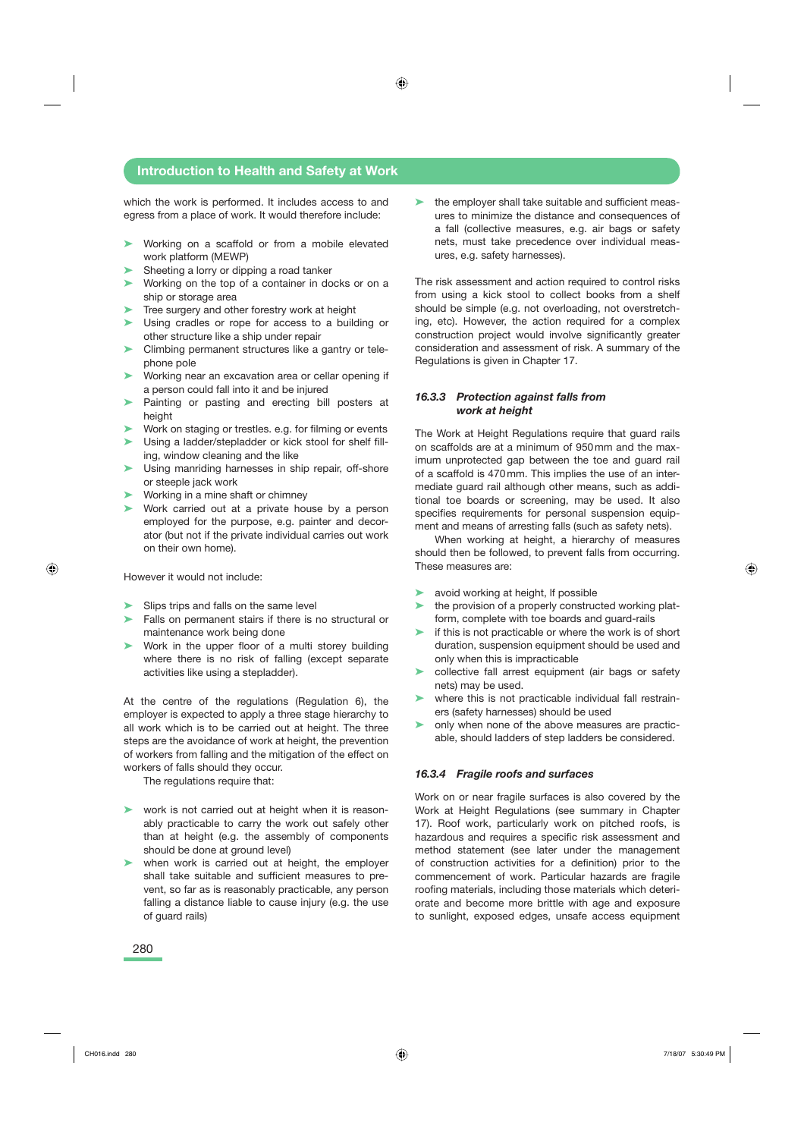◈

which the work is performed. It includes access to and egress from a place of work. It would therefore include:

- Working on a scaffold or from a mobile elevated work platform (MEWP)
- Sheeting a lorry or dipping a road tanker
- Working on the top of a container in docks or on a ship or storage area
- Tree surgery and other forestry work at height
- Using cradles or rope for access to a building or other structure like a ship under repair
- Climbing permanent structures like a gantry or telephone pole
- ➤ Working near an excavation area or cellar opening if a person could fall into it and be injured
- Painting or pasting and erecting bill posters at height
- Work on staging or trestles. e.g. for filming or events
- Using a ladder/stepladder or kick stool for shelf filling, window cleaning and the like
- Using manriding harnesses in ship repair, off-shore or steeple jack work
- ➤ Working in a mine shaft or chimney
- Work carried out at a private house by a person employed for the purpose, e.g. painter and decorator (but not if the private individual carries out work on their own home).

However it would not include:

⊕

- Slips trips and falls on the same level
- Falls on permanent stairs if there is no structural or maintenance work being done
- Work in the upper floor of a multi storey building where there is no risk of falling (except separate activities like using a stepladder).

At the centre of the regulations (Regulation 6), the employer is expected to apply a three stage hierarchy to all work which is to be carried out at height. The three steps are the avoidance of work at height, the prevention of workers from falling and the mitigation of the effect on workers of falls should they occur.

The regulations require that:

- work is not carried out at height when it is reasonably practicable to carry the work out safely other than at height (e.g. the assembly of components should be done at ground level)
- when work is carried out at height, the employer shall take suitable and sufficient measures to prevent, so far as is reasonably practicable, any person falling a distance liable to cause injury (e.g. the use of guard rails)

the employer shall take suitable and sufficient measures to minimize the distance and consequences of a fall (collective measures, e.g. air bags or safety nets, must take precedence over individual measures, e.g. safety harnesses).

The risk assessment and action required to control risks from using a kick stool to collect books from a shelf should be simple (e.g. not overloading, not overstretching, etc). However, the action required for a complex construction project would involve significantly greater consideration and assessment of risk. A summary of the Regulations is given in Chapter 17.

## *16.3.3 Protection against falls from work at height*

The Work at Height Regulations require that guard rails on scaffolds are at a minimum of 950 mm and the maximum unprotected gap between the toe and guard rail of a scaffold is 470 mm. This implies the use of an intermediate guard rail although other means, such as additional toe boards or screening, may be used. It also specifies requirements for personal suspension equipment and means of arresting falls (such as safety nets).

When working at height, a hierarchy of measures should then be followed, to prevent falls from occurring. These measures are:

- avoid working at height, If possible
- the provision of a properly constructed working platform, complete with toe boards and guard-rails
- if this is not practicable or where the work is of short duration, suspension equipment should be used and only when this is impracticable
- collective fall arrest equipment (air bags or safety nets) may be used.
- where this is not practicable individual fall restrainers (safety harnesses) should be used
- only when none of the above measures are practicable, should ladders of step ladders be considered.

## *16.3.4 Fragile roofs and surfaces*

Work on or near fragile surfaces is also covered by the Work at Height Regulations (see summary in Chapter 17). Roof work, particularly work on pitched roofs, is hazardous and requires a specific risk assessment and method statement (see later under the management of construction activities for a definition) prior to the commencement of work. Particular hazards are fragile roofing materials, including those materials which deteriorate and become more brittle with age and exposure to sunlight, exposed edges, unsafe access equipment

280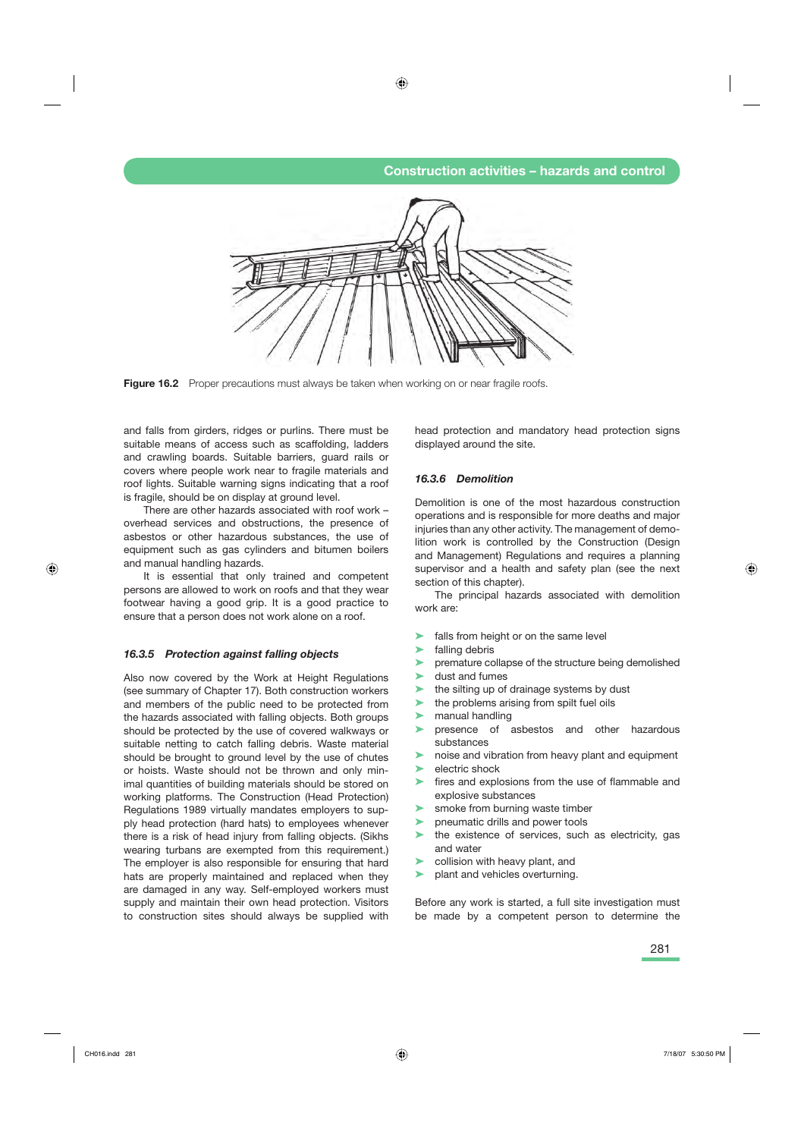

Figure 16.2 Proper precautions must always be taken when working on or near fragile roofs.

and falls from girders, ridges or purlins. There must be suitable means of access such as scaffolding, ladders and crawling boards. Suitable barriers, guard rails or covers where people work near to fragile materials and roof lights. Suitable warning signs indicating that a roof is fragile, should be on display at ground level.

There are other hazards associated with roof work – overhead services and obstructions, the presence of asbestos or other hazardous substances, the use of equipment such as gas cylinders and bitumen boilers and manual handling hazards.

It is essential that only trained and competent persons are allowed to work on roofs and that they wear footwear having a good grip. It is a good practice to ensure that a person does not work alone on a roof.

## *16.3.5 Protection against falling objects*

Also now covered by the Work at Height Regulations (see summary of Chapter 17). Both construction workers and members of the public need to be protected from the hazards associated with falling objects. Both groups should be protected by the use of covered walkways or suitable netting to catch falling debris. Waste material should be brought to ground level by the use of chutes or hoists. Waste should not be thrown and only minimal quantities of building materials should be stored on working platforms. The Construction (Head Protection) Regulations 1989 virtually mandates employers to supply head protection (hard hats) to employees whenever there is a risk of head injury from falling objects. (Sikhs wearing turbans are exempted from this requirement.) The employer is also responsible for ensuring that hard hats are properly maintained and replaced when they are damaged in any way. Self-employed workers must supply and maintain their own head protection. Visitors to construction sites should always be supplied with head protection and mandatory head protection signs displayed around the site.

## *16.3.6 Demolition*

Demolition is one of the most hazardous construction operations and is responsible for more deaths and major injuries than any other activity. The management of demolition work is controlled by the Construction (Design and Management) Regulations and requires a planning supervisor and a health and safety plan (see the next section of this chapter).

The principal hazards associated with demolition work are:

- falls from height or on the same level
- falling debris
- premature collapse of the structure being demolished
- dust and fumes
- ➤ the silting up of drainage systems by dust
- the problems arising from spilt fuel oils
- manual handling
- ➤ presence of asbestos and other hazardous substances
	- ➤ noise and vibration from heavy plant and equipment
	- electric shock
- fires and explosions from the use of flammable and explosive substances
- smoke from burning waste timber
- pneumatic drills and power tools
- ➤ the existence of services, such as electricity, gas and water
- collision with heavy plant, and
- plant and vehicles overturning.

Before any work is started, a full site investigation must be made by a competent person to determine the

281

⊕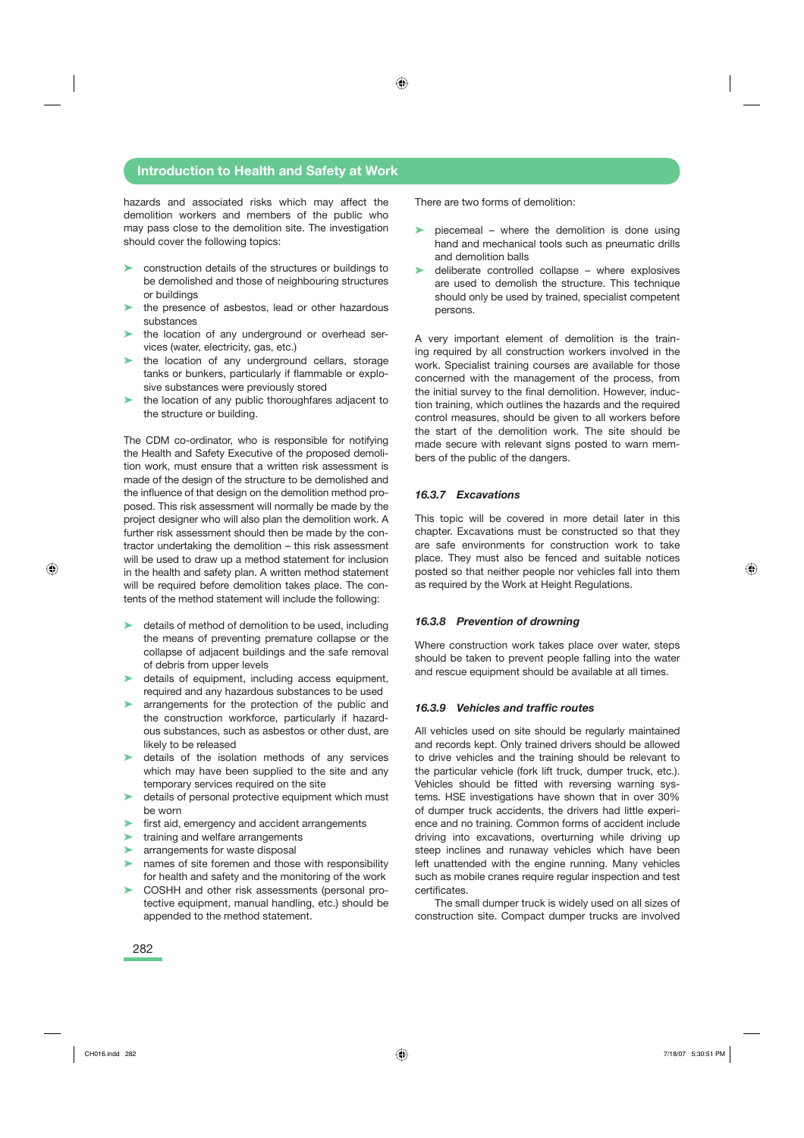hazards and associated risks which may affect the demolition workers and members of the public who may pass close to the demolition site. The investigation should cover the following topics:

- construction details of the structures or buildings to be demolished and those of neighbouring structures or buildings
- the presence of asbestos, lead or other hazardous substances
- the location of any underground or overhead services (water, electricity, gas, etc.)
- the location of any underground cellars, storage tanks or bunkers, particularly if flammable or explosive substances were previously stored
- the location of any public thoroughfares adjacent to the structure or building.

The CDM co-ordinator, who is responsible for notifying the Health and Safety Executive of the proposed demolition work, must ensure that a written risk assessment is made of the design of the structure to be demolished and the influence of that design on the demolition method proposed. This risk assessment will normally be made by the project designer who will also plan the demolition work. A further risk assessment should then be made by the contractor undertaking the demolition – this risk assessment will be used to draw up a method statement for inclusion in the health and safety plan. A written method statement will be required before demolition takes place. The contents of the method statement will include the following:

- details of method of demolition to be used, including the means of preventing premature collapse or the collapse of adjacent buildings and the safe removal of debris from upper levels
- details of equipment, including access equipment, required and any hazardous substances to be used
- arrangements for the protection of the public and the construction workforce, particularly if hazardous substances, such as asbestos or other dust, are likely to be released
- details of the isolation methods of any services which may have been supplied to the site and any temporary services required on the site
- details of personal protective equipment which must be worn
- first aid, emergency and accident arrangements
- training and welfare arrangements
- arrangements for waste disposal
- names of site foremen and those with responsibility for health and safety and the monitoring of the work
- ➤ COSHH and other risk assessments (personal protective equipment, manual handling, etc.) should be appended to the method statement.

There are two forms of demolition:

◈

- piecemeal where the demolition is done using hand and mechanical tools such as pneumatic drills and demolition balls
- ➤ deliberate controlled collapse where explosives are used to demolish the structure. This technique should only be used by trained, specialist competent persons.

A very important element of demolition is the training required by all construction workers involved in the work. Specialist training courses are available for those concerned with the management of the process, from the initial survey to the final demolition. However, induction training, which outlines the hazards and the required control measures, should be given to all workers before the start of the demolition work. The site should be made secure with relevant signs posted to warn members of the public of the dangers.

# *16.3.7 Excavations*

This topic will be covered in more detail later in this chapter. Excavations must be constructed so that they are safe environments for construction work to take place. They must also be fenced and suitable notices posted so that neither people nor vehicles fall into them as required by the Work at Height Regulations.

## *16.3.8 Prevention of drowning*

Where construction work takes place over water, steps should be taken to prevent people falling into the water and rescue equipment should be available at all times.

## **16.3.9 Vehicles and traffic routes**

All vehicles used on site should be regularly maintained and records kept. Only trained drivers should be allowed to drive vehicles and the training should be relevant to the particular vehicle (fork lift truck, dumper truck, etc.). Vehicles should be fitted with reversing warning systems. HSE investigations have shown that in over 30% of dumper truck accidents, the drivers had little experience and no training. Common forms of accident include driving into excavations, overturning while driving up steep inclines and runaway vehicles which have been left unattended with the engine running. Many vehicles such as mobile cranes require regular inspection and test certificates.

The small dumper truck is widely used on all sizes of construction site. Compact dumper trucks are involved

282

⊕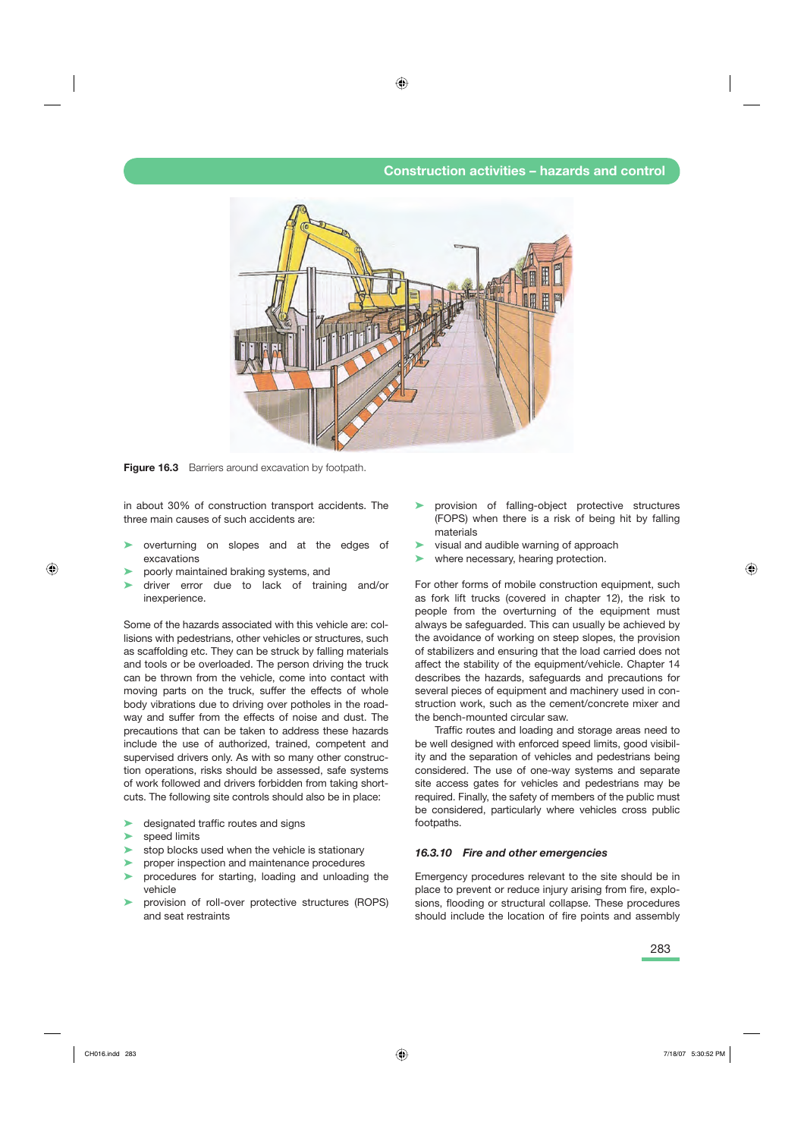

Figure 16.3 Barriers around excavation by footpath.

in about 30% of construction transport accidents. The three main causes of such accidents are:

- overturning on slopes and at the edges of excavations
- poorly maintained braking systems, and
- ➤ driver error due to lack of training and/or inexperience.

Some of the hazards associated with this vehicle are: collisions with pedestrians, other vehicles or structures, such as scaffolding etc. They can be struck by falling materials and tools or be overloaded. The person driving the truck can be thrown from the vehicle, come into contact with moving parts on the truck, suffer the effects of whole body vibrations due to driving over potholes in the roadway and suffer from the effects of noise and dust. The precautions that can be taken to address these hazards include the use of authorized, trained, competent and supervised drivers only. As with so many other construction operations, risks should be assessed, safe systems of work followed and drivers forbidden from taking shortcuts. The following site controls should also be in place:

- designated traffic routes and signs
- speed limits
- stop blocks used when the vehicle is stationary
- proper inspection and maintenance procedures
- procedures for starting, loading and unloading the vehicle
- provision of roll-over protective structures (ROPS) and seat restraints
- provision of falling-object protective structures (FOPS) when there is a risk of being hit by falling materials
- visual and audible warning of approach
- where necessary, hearing protection.

For other forms of mobile construction equipment, such as fork lift trucks (covered in chapter 12), the risk to people from the overturning of the equipment must always be safeguarded. This can usually be achieved by the avoidance of working on steep slopes, the provision of stabilizers and ensuring that the load carried does not affect the stability of the equipment/vehicle. Chapter 14 describes the hazards, safeguards and precautions for several pieces of equipment and machinery used in construction work, such as the cement/concrete mixer and the bench-mounted circular saw.

Traffic routes and loading and storage areas need to be well designed with enforced speed limits, good visibility and the separation of vehicles and pedestrians being considered. The use of one-way systems and separate site access gates for vehicles and pedestrians may be required. Finally, the safety of members of the public must be considered, particularly where vehicles cross public footpaths.

## *16.3.10 Fire and other emergencies*

Emergency procedures relevant to the site should be in place to prevent or reduce injury arising from fire, explosions, flooding or structural collapse. These procedures should include the location of fire points and assembly

283

⊕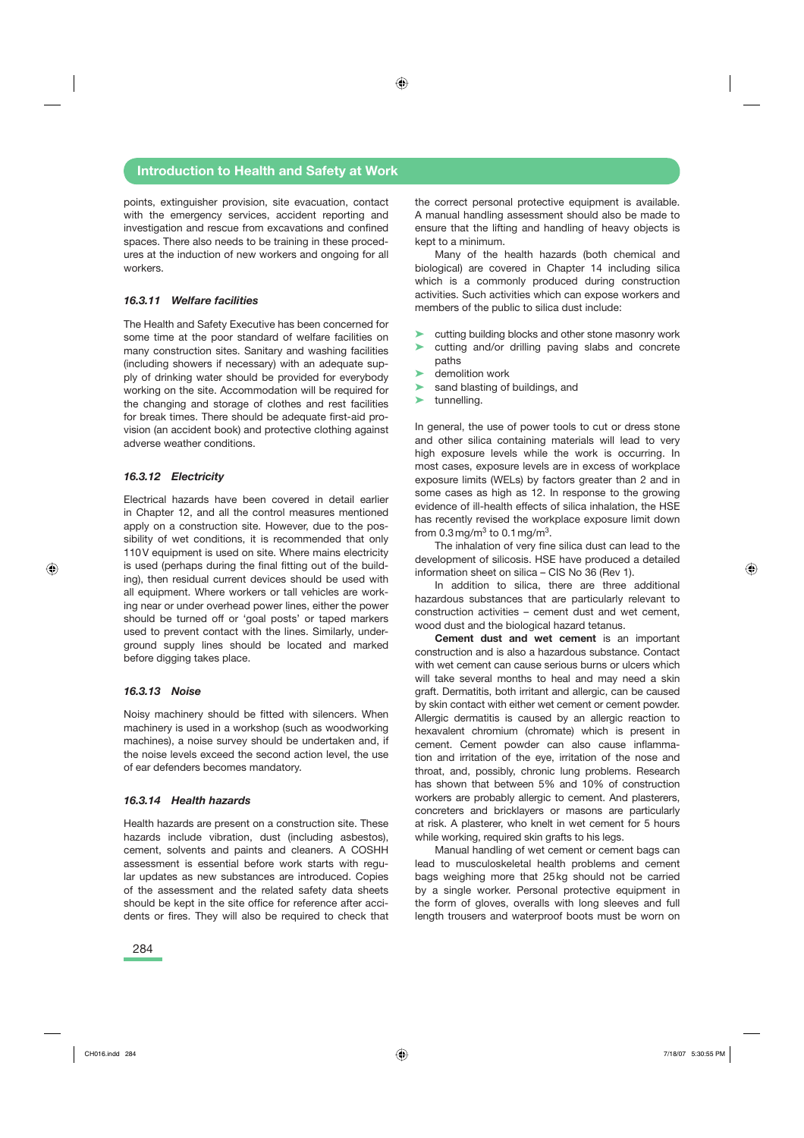points, extinguisher provision, site evacuation, contact with the emergency services, accident reporting and investigation and rescue from excavations and confined spaces. There also needs to be training in these procedures at the induction of new workers and ongoing for all workers.

## *16.3.11 Welfare facilities*

The Health and Safety Executive has been concerned for some time at the poor standard of welfare facilities on many construction sites. Sanitary and washing facilities (including showers if necessary) with an adequate supply of drinking water should be provided for everybody working on the site. Accommodation will be required for the changing and storage of clothes and rest facilities for break times. There should be adequate first-aid provision (an accident book) and protective clothing against adverse weather conditions.

## *16.3.12 Electricity*

Electrical hazards have been covered in detail earlier in Chapter 12, and all the control measures mentioned apply on a construction site. However, due to the possibility of wet conditions, it is recommended that only 110V equipment is used on site. Where mains electricity is used (perhaps during the final fitting out of the building), then residual current devices should be used with all equipment. Where workers or tall vehicles are working near or under overhead power lines, either the power should be turned off or 'goal posts' or taped markers used to prevent contact with the lines. Similarly, underground supply lines should be located and marked before digging takes place.

## *16.3.13 Noise*

⊕

Noisy machinery should be fitted with silencers. When machinery is used in a workshop (such as woodworking machines), a noise survey should be undertaken and, if the noise levels exceed the second action level, the use of ear defenders becomes mandatory.

## *16.3.14 Health hazards*

Health hazards are present on a construction site. These hazards include vibration, dust (including asbestos), cement, solvents and paints and cleaners. A COSHH assessment is essential before work starts with regular updates as new substances are introduced. Copies of the assessment and the related safety data sheets should be kept in the site office for reference after accidents or fires. They will also be required to check that

284

the correct personal protective equipment is available. A manual handling assessment should also be made to ensure that the lifting and handling of heavy objects is kept to a minimum.

Many of the health hazards (both chemical and biological) are covered in Chapter 14 including silica which is a commonly produced during construction activities. Such activities which can expose workers and members of the public to silica dust include:

- ➤ cutting building blocks and other stone masonry work cutting and/or drilling paving slabs and concrete
- paths
- demolition work
- sand blasting of buildings, and
- tunnelling.

In general, the use of power tools to cut or dress stone and other silica containing materials will lead to very high exposure levels while the work is occurring. In most cases, exposure levels are in excess of workplace exposure limits (WELs) by factors greater than 2 and in some cases as high as 12. In response to the growing evidence of ill-health effects of silica inhalation, the HSE has recently revised the workplace exposure limit down from  $0.3 \,\mathrm{mg/m^3}$  to  $0.1 \,\mathrm{mg/m^3}$ .

The inhalation of very fine silica dust can lead to the development of silicosis. HSE have produced a detailed information sheet on silica – CIS No 36 (Rev 1).

In addition to silica, there are three additional hazardous substances that are particularly relevant to construction activities – cement dust and wet cement, wood dust and the biological hazard tetanus.

**Cement dust and wet cement** is an important construction and is also a hazardous substance. Contact with wet cement can cause serious burns or ulcers which will take several months to heal and may need a skin graft. Dermatitis, both irritant and allergic, can be caused by skin contact with either wet cement or cement powder. Allergic dermatitis is caused by an allergic reaction to hexavalent chromium (chromate) which is present in cement. Cement powder can also cause inflammation and irritation of the eye, irritation of the nose and throat, and, possibly, chronic lung problems. Research has shown that between 5% and 10% of construction workers are probably allergic to cement. And plasterers, concreters and bricklayers or masons are particularly at risk. A plasterer, who knelt in wet cement for 5 hours while working, required skin grafts to his legs.

Manual handling of wet cement or cement bags can lead to musculoskeletal health problems and cement bags weighing more that 25 kg should not be carried by a single worker. Personal protective equipment in the form of gloves, overalls with long sleeves and full length trousers and waterproof boots must be worn on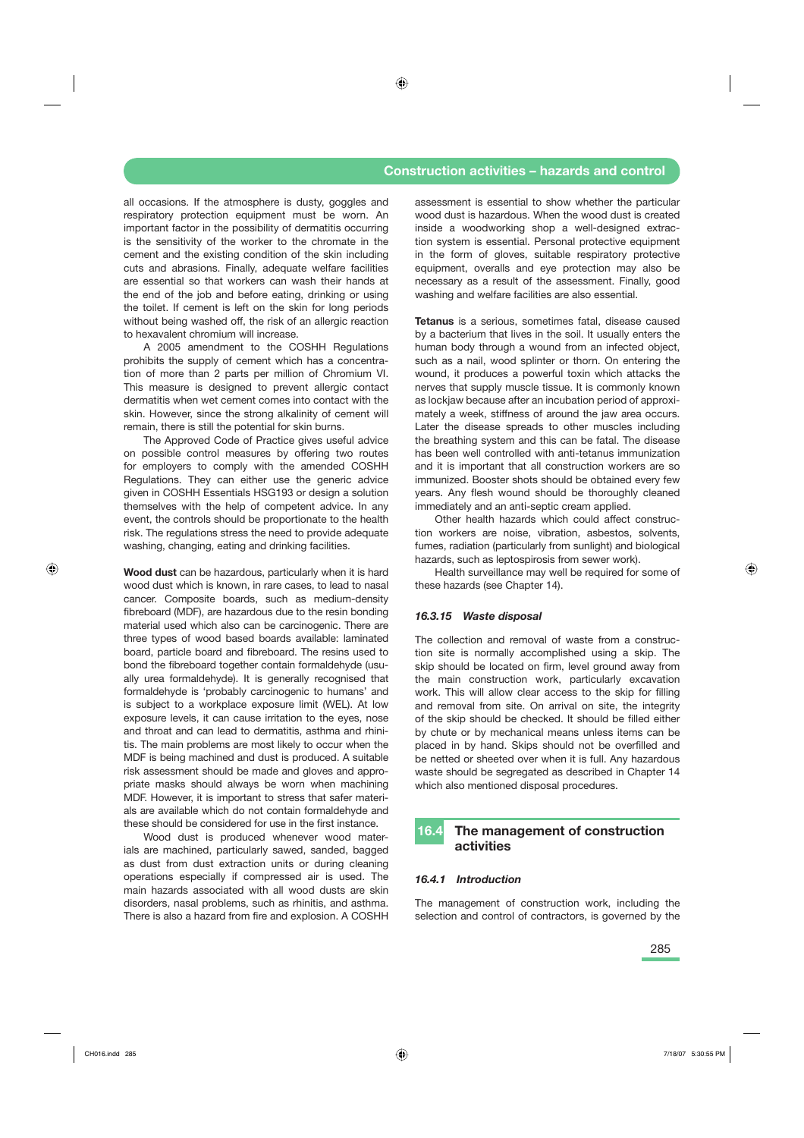all occasions. If the atmosphere is dusty, goggles and respiratory protection equipment must be worn. An important factor in the possibility of dermatitis occurring is the sensitivity of the worker to the chromate in the cement and the existing condition of the skin including cuts and abrasions. Finally, adequate welfare facilities are essential so that workers can wash their hands at the end of the job and before eating, drinking or using the toilet. If cement is left on the skin for long periods without being washed off, the risk of an allergic reaction to hexavalent chromium will increase.

A 2005 amendment to the COSHH Regulations prohibits the supply of cement which has a concentration of more than 2 parts per million of Chromium VI. This measure is designed to prevent allergic contact dermatitis when wet cement comes into contact with the skin. However, since the strong alkalinity of cement will remain, there is still the potential for skin burns.

The Approved Code of Practice gives useful advice on possible control measures by offering two routes for employers to comply with the amended COSHH Regulations. They can either use the generic advice given in COSHH Essentials HSG193 or design a solution themselves with the help of competent advice. In any event, the controls should be proportionate to the health risk. The regulations stress the need to provide adequate washing, changing, eating and drinking facilities.

**Wood dust** can be hazardous, particularly when it is hard wood dust which is known, in rare cases, to lead to nasal cancer. Composite boards, such as medium-density fibreboard (MDF), are hazardous due to the resin bonding material used which also can be carcinogenic. There are three types of wood based boards available: laminated board, particle board and fibreboard. The resins used to bond the fibreboard together contain formaldehyde (usually urea formaldehyde). It is generally recognised that formaldehyde is 'probably carcinogenic to humans' and is subject to a workplace exposure limit (WEL). At low exposure levels, it can cause irritation to the eyes, nose and throat and can lead to dermatitis, asthma and rhinitis. The main problems are most likely to occur when the MDF is being machined and dust is produced. A suitable risk assessment should be made and gloves and appropriate masks should always be worn when machining MDF. However, it is important to stress that safer materials are available which do not contain formaldehyde and these should be considered for use in the first instance.

Wood dust is produced whenever wood materials are machined, particularly sawed, sanded, bagged as dust from dust extraction units or during cleaning operations especially if compressed air is used. The main hazards associated with all wood dusts are skin disorders, nasal problems, such as rhinitis, and asthma. There is also a hazard from fire and explosion. A COSHH

assessment is essential to show whether the particular wood dust is hazardous. When the wood dust is created inside a woodworking shop a well-designed extraction system is essential. Personal protective equipment in the form of gloves, suitable respiratory protective equipment, overalls and eye protection may also be necessary as a result of the assessment. Finally, good washing and welfare facilities are also essential.

**Tetanus** is a serious, sometimes fatal, disease caused by a bacterium that lives in the soil. It usually enters the human body through a wound from an infected object, such as a nail, wood splinter or thorn. On entering the wound, it produces a powerful toxin which attacks the nerves that supply muscle tissue. It is commonly known as lockjaw because after an incubation period of approximately a week, stiffness of around the jaw area occurs. Later the disease spreads to other muscles including the breathing system and this can be fatal. The disease has been well controlled with anti-tetanus immunization and it is important that all construction workers are so immunized. Booster shots should be obtained every few years. Any flesh wound should be thoroughly cleaned immediately and an anti-septic cream applied.

Other health hazards which could affect construction workers are noise, vibration, asbestos, solvents, fumes, radiation (particularly from sunlight) and biological hazards, such as leptospirosis from sewer work).

Health surveillance may well be required for some of these hazards (see Chapter 14).

## *16.3.15 Waste disposal*

The collection and removal of waste from a construction site is normally accomplished using a skip. The skip should be located on firm, level ground away from the main construction work, particularly excavation work. This will allow clear access to the skip for filling and removal from site. On arrival on site, the integrity of the skip should be checked. It should be filled either by chute or by mechanical means unless items can be placed in by hand. Skips should not be overfilled and be netted or sheeted over when it is full. Any hazardous waste should be segregated as described in Chapter 14 which also mentioned disposal procedures.

# **16.4 The management of construction activities**

### *16.4.1 Introduction*

The management of construction work, including the selection and control of contractors, is governed by the

285

⊕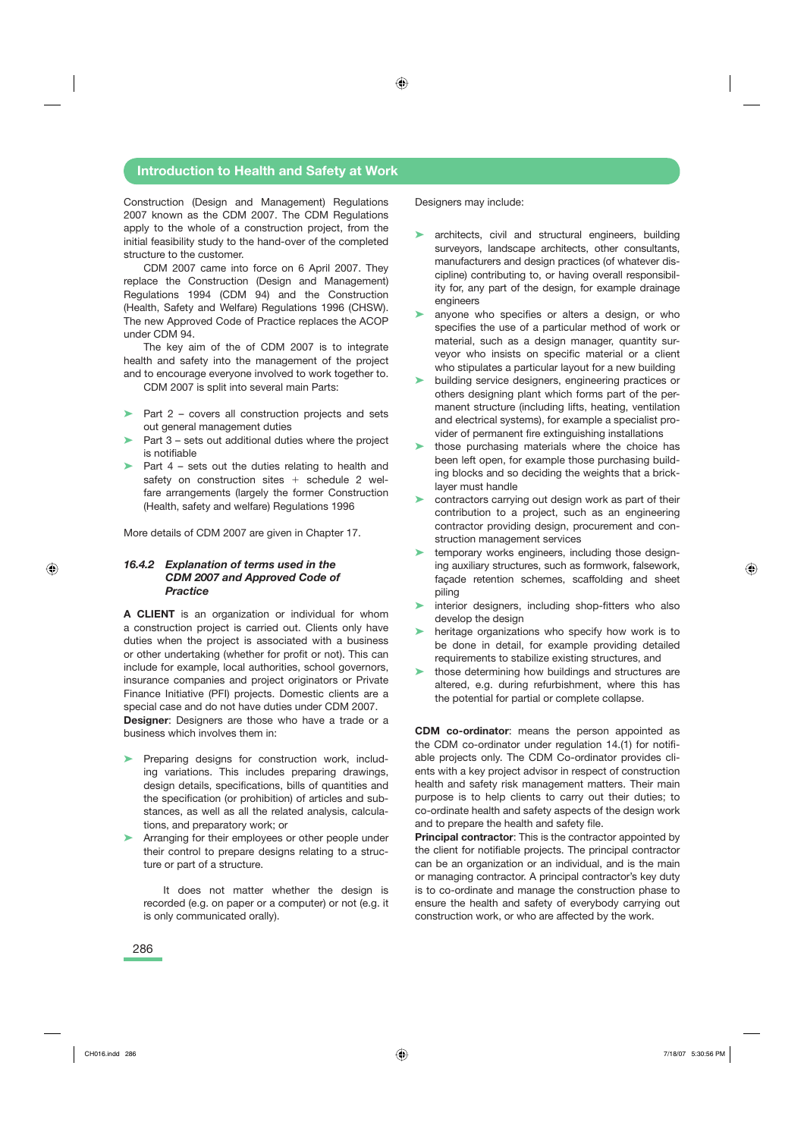Construction (Design and Management) Regulations 2007 known as the CDM 2007. The CDM Regulations apply to the whole of a construction project, from the initial feasibility study to the hand-over of the completed structure to the customer.

CDM 2007 came into force on 6 April 2007. They replace the Construction (Design and Management) Regulations 1994 (CDM 94) and the Construction (Health, Safety and Welfare) Regulations 1996 (CHSW). The new Approved Code of Practice replaces the ACOP under CDM 94.

The key aim of the of CDM 2007 is to integrate health and safety into the management of the project and to encourage everyone involved to work together to. CDM 2007 is split into several main Parts:

- ▶ Part 2 covers all construction projects and sets out general management duties
- Part 3 sets out additional duties where the project is notifiable
- Part 4 sets out the duties relating to health and safety on construction sites  $+$  schedule 2 welfare arrangements (largely the former Construction (Health, safety and welfare) Regulations 1996

More details of CDM 2007 are given in Chapter 17.

## *16.4.2 Explanation of terms used in the CDM 2007 and Approved Code of Practice*

**A CLIENT** is an organization or individual for whom a construction project is carried out. Clients only have duties when the project is associated with a business or other undertaking (whether for profit or not). This can include for example, local authorities, school governors, insurance companies and project originators or Private Finance Initiative (PFI) projects. Domestic clients are a special case and do not have duties under CDM 2007. **Designer**: Designers are those who have a trade or a business which involves them in:

- Preparing designs for construction work, including variations. This includes preparing drawings, design details, specifications, bills of quantities and the specification (or prohibition) of articles and substances, as well as all the related analysis, calculations, and preparatory work; or
- ➤ Arranging for their employees or other people under their control to prepare designs relating to a structure or part of a structure.

 It does not matter whether the design is recorded (e.g. on paper or a computer) or not (e.g. it is only communicated orally).

Designers may include:

◈

- architects, civil and structural engineers, building surveyors, landscape architects, other consultants, manufacturers and design practices (of whatever discipline) contributing to, or having overall responsibility for, any part of the design, for example drainage engineers
- anyone who specifies or alters a design, or who specifies the use of a particular method of work or material, such as a design manager, quantity surveyor who insists on specific material or a client who stipulates a particular layout for a new building
- ➤ building service designers, engineering practices or others designing plant which forms part of the permanent structure (including lifts, heating, ventilation and electrical systems), for example a specialist provider of permanent fire extinguishing installations
- those purchasing materials where the choice has been left open, for example those purchasing building blocks and so deciding the weights that a bricklayer must handle
- contractors carrying out design work as part of their contribution to a project, such as an engineering contractor providing design, procurement and construction management services
- temporary works engineers, including those designing auxiliary structures, such as formwork, falsework, façade retention schemes, scaffolding and sheet piling
- interior designers, including shop-fitters who also develop the design
- heritage organizations who specify how work is to be done in detail, for example providing detailed requirements to stabilize existing structures, and
- those determining how buildings and structures are altered, e.g. during refurbishment, where this has the potential for partial or complete collapse.

**CDM co-ordinator**: means the person appointed as the CDM co-ordinator under regulation 14.(1) for notifiable projects only. The CDM Co-ordinator provides clients with a key project advisor in respect of construction health and safety risk management matters. Their main purpose is to help clients to carry out their duties; to co-ordinate health and safety aspects of the design work and to prepare the health and safety file.

**Principal contractor**: This is the contractor appointed by the client for notifiable projects. The principal contractor can be an organization or an individual, and is the main or managing contractor. A principal contractor's key duty is to co-ordinate and manage the construction phase to ensure the health and safety of everybody carrying out construction work, or who are affected by the work.

286

⊕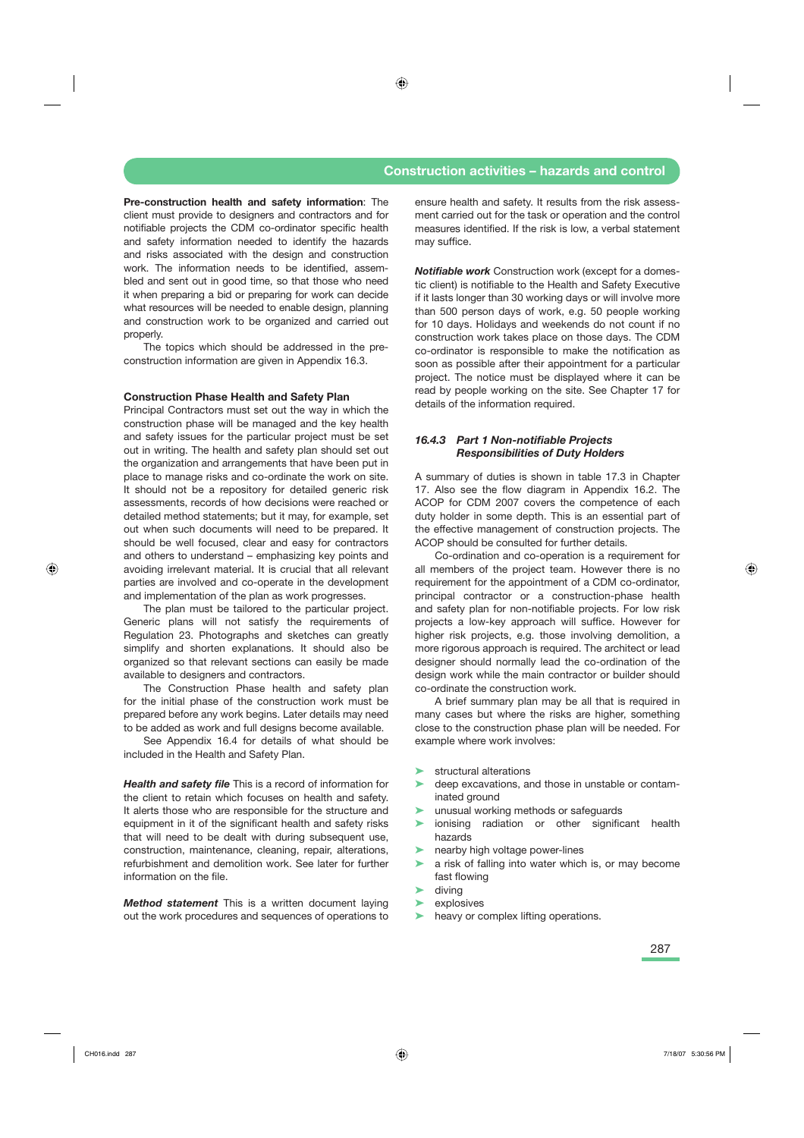**Pre-construction health and safety information**: The client must provide to designers and contractors and for notifiable projects the CDM co-ordinator specific health and safety information needed to identify the hazards and risks associated with the design and construction work. The information needs to be identified, assembled and sent out in good time, so that those who need it when preparing a bid or preparing for work can decide what resources will be needed to enable design, planning and construction work to be organized and carried out properly.

The topics which should be addressed in the preconstruction information are given in Appendix 16.3.

## **Construction Phase Health and Safety Plan**

Principal Contractors must set out the way in which the construction phase will be managed and the key health and safety issues for the particular project must be set out in writing. The health and safety plan should set out the organization and arrangements that have been put in place to manage risks and co-ordinate the work on site. It should not be a repository for detailed generic risk assessments, records of how decisions were reached or detailed method statements; but it may, for example, set out when such documents will need to be prepared. It should be well focused, clear and easy for contractors and others to understand – emphasizing key points and avoiding irrelevant material. It is crucial that all relevant parties are involved and co-operate in the development and implementation of the plan as work progresses.

The plan must be tailored to the particular project. Generic plans will not satisfy the requirements of Regulation 23. Photographs and sketches can greatly simplify and shorten explanations. It should also be organized so that relevant sections can easily be made available to designers and contractors.

The Construction Phase health and safety plan for the initial phase of the construction work must be prepared before any work begins. Later details may need to be added as work and full designs become available.

See Appendix 16.4 for details of what should be included in the Health and Safety Plan.

Health and safety file This is a record of information for the client to retain which focuses on health and safety. It alerts those who are responsible for the structure and equipment in it of the significant health and safety risks that will need to be dealt with during subsequent use, construction, maintenance, cleaning, repair, alterations, refurbishment and demolition work. See later for further information on the file.

*Method statement* This is a written document laying out the work procedures and sequences of operations to

ensure health and safety. It results from the risk assessment carried out for the task or operation and the control measures identified. If the risk is low, a verbal statement may suffice.

**Notifiable work** Construction work (except for a domestic client) is notifiable to the Health and Safety Executive if it lasts longer than 30 working days or will involve more than 500 person days of work, e.g. 50 people working for 10 days. Holidays and weekends do not count if no construction work takes place on those days. The CDM co-ordinator is responsible to make the notification as soon as possible after their appointment for a particular project. The notice must be displayed where it can be read by people working on the site. See Chapter 17 for details of the information required.

## *16.4.3 Part 1 Non-notifi able Projects Responsibilities of Duty Holders*

A summary of duties is shown in table 17.3 in Chapter 17. Also see the flow diagram in Appendix 16.2. The ACOP for CDM 2007 covers the competence of each duty holder in some depth. This is an essential part of the effective management of construction projects. The ACOP should be consulted for further details.

Co-ordination and co-operation is a requirement for all members of the project team. However there is no requirement for the appointment of a CDM co-ordinator, principal contractor or a construction-phase health and safety plan for non-notifiable projects. For low risk projects a low-key approach will suffice. However for higher risk projects, e.g. those involving demolition, a more rigorous approach is required. The architect or lead designer should normally lead the co-ordination of the design work while the main contractor or builder should co-ordinate the construction work.

A brief summary plan may be all that is required in many cases but where the risks are higher, something close to the construction phase plan will be needed. For example where work involves:

- structural alterations
- deep excavations, and those in unstable or contaminated ground
- unusual working methods or safeguards
- ionising radiation or other significant health hazards
- nearby high voltage power-lines
- a risk of falling into water which is, or may become fast flowing
- diving
- explosives
- heavy or complex lifting operations.

287

⊕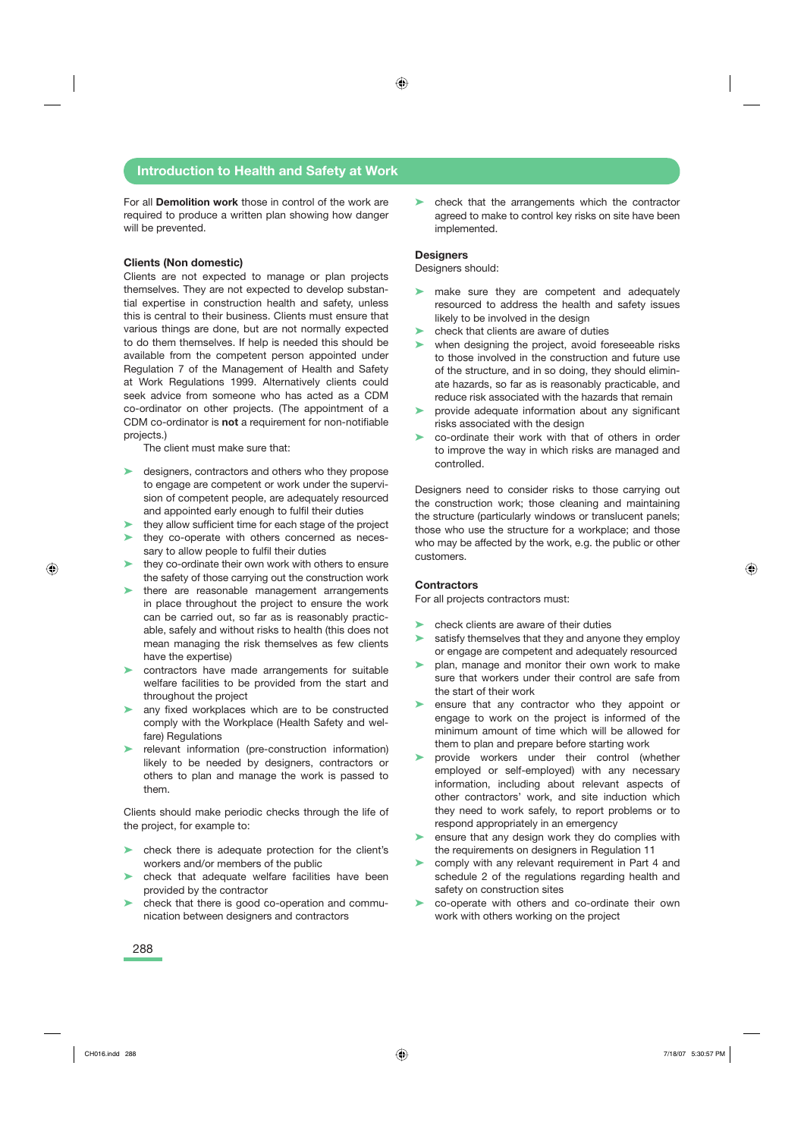For all **Demolition work** those in control of the work are required to produce a written plan showing how danger will be prevented.

# **Clients (Non domestic)**

Clients are not expected to manage or plan projects themselves. They are not expected to develop substantial expertise in construction health and safety, unless this is central to their business. Clients must ensure that various things are done, but are not normally expected to do them themselves. If help is needed this should be available from the competent person appointed under Regulation 7 of the Management of Health and Safety at Work Regulations 1999. Alternatively clients could seek advice from someone who has acted as a CDM co-ordinator on other projects. (The appointment of a CDM co-ordinator is **not** a requirement for non-notifiable projects.)

The client must make sure that:

- designers, contractors and others who they propose to engage are competent or work under the supervision of competent people, are adequately resourced and appointed early enough to fulfil their duties
- they allow sufficient time for each stage of the project they co-operate with others concerned as neces-
- sary to allow people to fulfil their duties they co-ordinate their own work with others to ensure
- the safety of those carrying out the construction work there are reasonable management arrangements
- in place throughout the project to ensure the work can be carried out, so far as is reasonably practicable, safely and without risks to health (this does not mean managing the risk themselves as few clients have the expertise)
- contractors have made arrangements for suitable welfare facilities to be provided from the start and throughout the project
- any fixed workplaces which are to be constructed comply with the Workplace (Health Safety and welfare) Regulations
- relevant information (pre-construction information) likely to be needed by designers, contractors or others to plan and manage the work is passed to them.

Clients should make periodic checks through the life of the project, for example to:

- check there is adequate protection for the client's workers and/or members of the public
- check that adequate welfare facilities have been provided by the contractor
- check that there is good co-operation and communication between designers and contractors

➤ check that the arrangements which the contractor agreed to make to control key risks on site have been implemented.

# **Designers**

◈

Designers should:

- make sure they are competent and adequately resourced to address the health and safety issues likely to be involved in the design
- ➤ check that clients are aware of duties
- when designing the project, avoid foreseeable risks to those involved in the construction and future use of the structure, and in so doing, they should eliminate hazards, so far as is reasonably practicable, and reduce risk associated with the hazards that remain
- provide adequate information about any significant risks associated with the design
- ➤ co-ordinate their work with that of others in order to improve the way in which risks are managed and controlled.

Designers need to consider risks to those carrying out the construction work; those cleaning and maintaining the structure (particularly windows or translucent panels; those who use the structure for a workplace; and those who may be affected by the work, e.g. the public or other customers.

## **Contractors**

For all projects contractors must:

- ➤ check clients are aware of their duties
- satisfy themselves that they and anyone they employ or engage are competent and adequately resourced
- plan, manage and monitor their own work to make sure that workers under their control are safe from the start of their work
- ensure that any contractor who they appoint or engage to work on the project is informed of the minimum amount of time which will be allowed for them to plan and prepare before starting work
- provide workers under their control (whether employed or self-employed) with any necessary information, including about relevant aspects of other contractors' work, and site induction which they need to work safely, to report problems or to respond appropriately in an emergency
- ensure that any design work they do complies with the requirements on designers in Regulation 11
- comply with any relevant requirement in Part 4 and schedule 2 of the regulations regarding health and safety on construction sites
- co-operate with others and co-ordinate their own work with others working on the project

288

⊕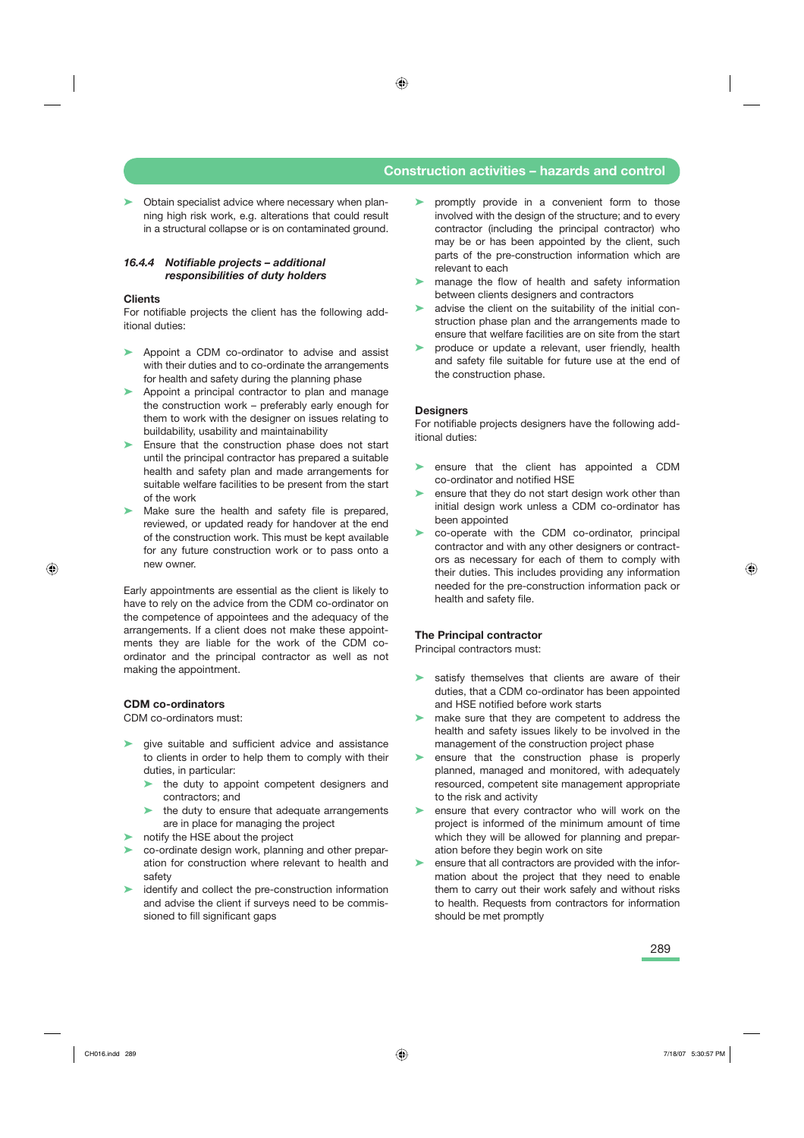➤ Obtain specialist advice where necessary when planning high risk work, e.g. alterations that could result in a structural collapse or is on contaminated ground.

# *16.4.4 Notifi able projects – additional responsibilities of duty holders*

#### **Clients**

⊕

For notifiable projects the client has the following additional duties:

- ➤ Appoint a CDM co-ordinator to advise and assist with their duties and to co-ordinate the arrangements for health and safety during the planning phase
- Appoint a principal contractor to plan and manage the construction work – preferably early enough for them to work with the designer on issues relating to buildability, usability and maintainability
- Ensure that the construction phase does not start until the principal contractor has prepared a suitable health and safety plan and made arrangements for suitable welfare facilities to be present from the start of the work
- Make sure the health and safety file is prepared, reviewed, or updated ready for handover at the end of the construction work. This must be kept available for any future construction work or to pass onto a new owner.

Early appointments are essential as the client is likely to have to rely on the advice from the CDM co-ordinator on the competence of appointees and the adequacy of the arrangements. If a client does not make these appointments they are liable for the work of the CDM coordinator and the principal contractor as well as not making the appointment.

## **CDM co-ordinators**

CDM co-ordinators must:

- give suitable and sufficient advice and assistance to clients in order to help them to comply with their duties, in particular:
	- the duty to appoint competent designers and contractors; and
	- the duty to ensure that adequate arrangements are in place for managing the project
- notify the HSE about the project
- co-ordinate design work, planning and other preparation for construction where relevant to health and safety
- identify and collect the pre-construction information and advise the client if surveys need to be commissioned to fill significant gaps
- promptly provide in a convenient form to those involved with the design of the structure; and to every contractor (including the principal contractor) who may be or has been appointed by the client, such parts of the pre-construction information which are relevant to each
- manage the flow of health and safety information between clients designers and contractors
- advise the client on the suitability of the initial construction phase plan and the arrangements made to ensure that welfare facilities are on site from the start
- produce or update a relevant, user friendly, health and safety file suitable for future use at the end of the construction phase.

## **Designers**

For notifiable projects designers have the following additional duties:

- ensure that the client has appointed a CDM co-ordinator and notified HSE
- ensure that they do not start design work other than initial design work unless a CDM co-ordinator has been appointed
- co-operate with the CDM co-ordinator, principal contractor and with any other designers or contractors as necessary for each of them to comply with their duties. This includes providing any information needed for the pre-construction information pack or health and safety file.

## **The Principal contractor**

Principal contractors must:

- ▶ satisfy themselves that clients are aware of their duties, that a CDM co-ordinator has been appointed and HSE notified before work starts
- make sure that they are competent to address the health and safety issues likely to be involved in the management of the construction project phase
- ensure that the construction phase is properly planned, managed and monitored, with adequately resourced, competent site management appropriate to the risk and activity
- ensure that every contractor who will work on the project is informed of the minimum amount of time which they will be allowed for planning and preparation before they begin work on site
- ensure that all contractors are provided with the information about the project that they need to enable them to carry out their work safely and without risks to health. Requests from contractors for information should be met promptly

289

◈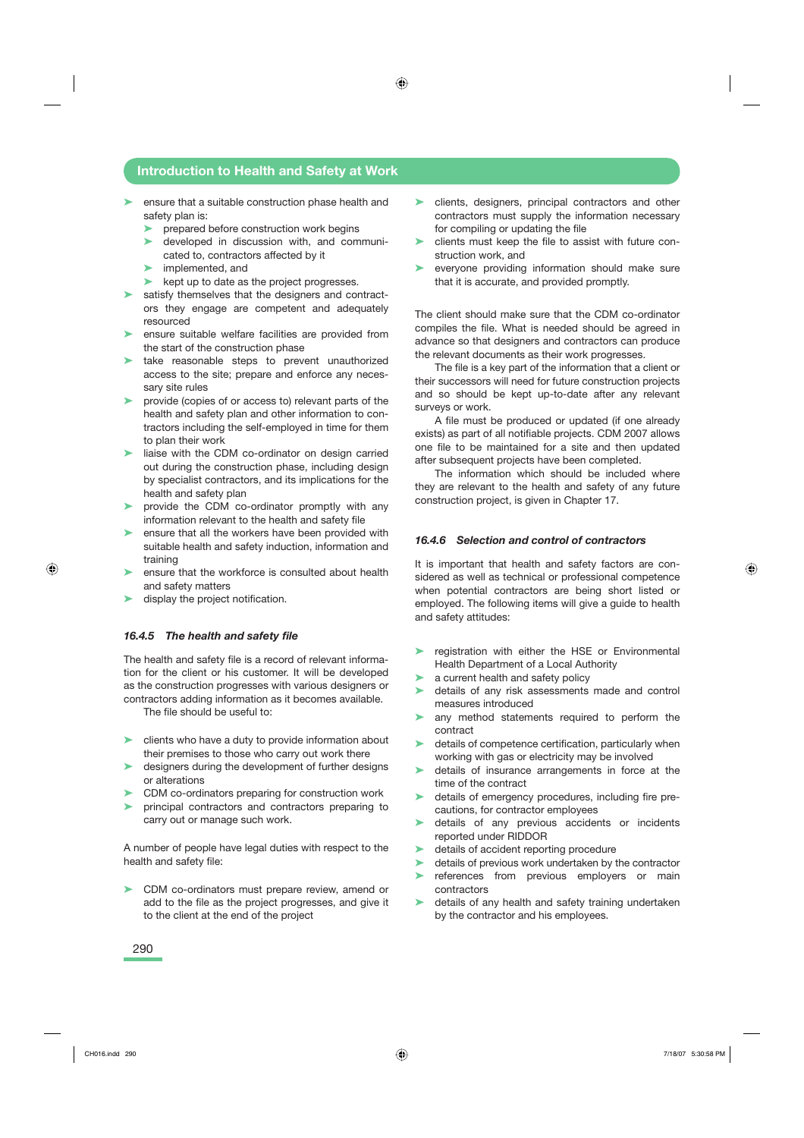◈

- ensure that a suitable construction phase health and safety plan is:
	- prepared before construction work begins
	- ▶ developed in discussion with, and communicated to, contractors affected by it
	- implemented, and
	- kept up to date as the project progresses.
- ▶ satisfy themselves that the designers and contractors they engage are competent and adequately resourced
- ensure suitable welfare facilities are provided from the start of the construction phase
- take reasonable steps to prevent unauthorized access to the site; prepare and enforce any necessary site rules
- provide (copies of or access to) relevant parts of the health and safety plan and other information to contractors including the self-employed in time for them to plan their work
- liaise with the CDM co-ordinator on design carried out during the construction phase, including design by specialist contractors, and its implications for the health and safety plan
- provide the CDM co-ordinator promptly with any information relevant to the health and safety file
- ensure that all the workers have been provided with suitable health and safety induction, information and training
- ensure that the workforce is consulted about health and safety matters
- display the project notification.

## 16.4.5 The health and safety file

The health and safety file is a record of relevant information for the client or his customer. It will be developed as the construction progresses with various designers or contractors adding information as it becomes available. The file should be useful to:

- clients who have a duty to provide information about their premises to those who carry out work there
- designers during the development of further designs or alterations
- CDM co-ordinators preparing for construction work
- principal contractors and contractors preparing to carry out or manage such work.

A number of people have legal duties with respect to the health and safety file:

➤ CDM co-ordinators must prepare review, amend or add to the file as the project progresses, and give it to the client at the end of the project

- clients, designers, principal contractors and other contractors must supply the information necessary for compiling or updating the file
- clients must keep the file to assist with future construction work, and
- everyone providing information should make sure that it is accurate, and provided promptly.

The client should make sure that the CDM co-ordinator compiles the file. What is needed should be agreed in advance so that designers and contractors can produce the relevant documents as their work progresses.

The file is a key part of the information that a client or their successors will need for future construction projects and so should be kept up-to-date after any relevant surveys or work.

A file must be produced or updated (if one already exists) as part of all notifiable projects. CDM 2007 allows one file to be maintained for a site and then updated after subsequent projects have been completed.

The information which should be included where they are relevant to the health and safety of any future construction project, is given in Chapter 17.

## *16.4.6 Selection and control of contractors*

It is important that health and safety factors are considered as well as technical or professional competence when potential contractors are being short listed or employed. The following items will give a guide to health and safety attitudes:

- registration with either the HSE or Environmental Health Department of a Local Authority
- a current health and safety policy
- details of any risk assessments made and control measures introduced
- any method statements required to perform the contract
- details of competence certification, particularly when working with gas or electricity may be involved
- details of insurance arrangements in force at the time of the contract
- details of emergency procedures, including fire precautions, for contractor employees
- details of any previous accidents or incidents reported under RIDDOR
- details of accident reporting procedure
- details of previous work undertaken by the contractor references from previous employers or main contractors
- details of any health and safety training undertaken by the contractor and his employees.

290

⊕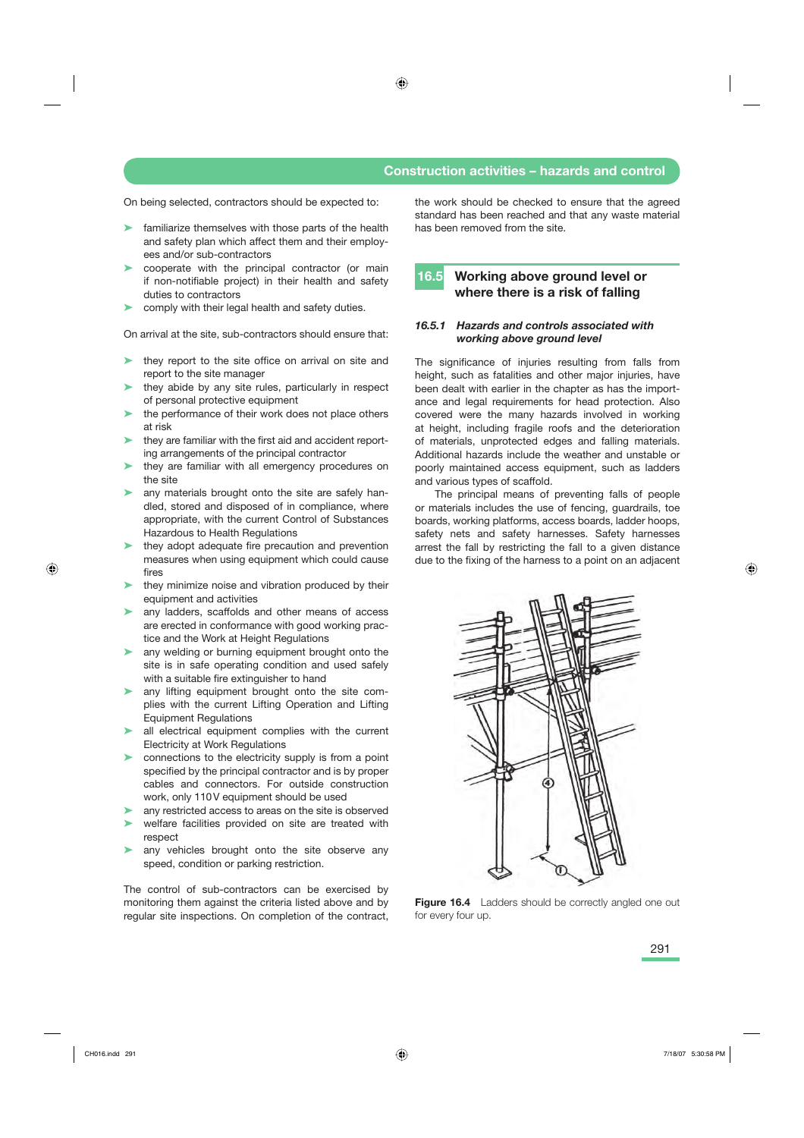On being selected, contractors should be expected to:

- familiarize themselves with those parts of the health and safety plan which affect them and their employees and/or sub-contractors
- cooperate with the principal contractor (or main if non-notifiable project) in their health and safety duties to contractors
- comply with their legal health and safety duties.

On arrival at the site, sub-contractors should ensure that:

- they report to the site office on arrival on site and report to the site manager
- they abide by any site rules, particularly in respect of personal protective equipment
- the performance of their work does not place others at risk
- they are familiar with the first aid and accident reporting arrangements of the principal contractor
- they are familiar with all emergency procedures on the site
- any materials brought onto the site are safely handled, stored and disposed of in compliance, where appropriate, with the current Control of Substances Hazardous to Health Regulations
- they adopt adequate fire precaution and prevention measures when using equipment which could cause fires
- they minimize noise and vibration produced by their equipment and activities
- any ladders, scaffolds and other means of access are erected in conformance with good working practice and the Work at Height Regulations
- any welding or burning equipment brought onto the site is in safe operating condition and used safely with a suitable fire extinguisher to hand
- any lifting equipment brought onto the site complies with the current Lifting Operation and Lifting Equipment Regulations
- all electrical equipment complies with the current Electricity at Work Regulations
- connections to the electricity supply is from a point specified by the principal contractor and is by proper cables and connectors. For outside construction work, only 110V equipment should be used
- any restricted access to areas on the site is observed
- welfare facilities provided on site are treated with respect
- any vehicles brought onto the site observe any speed, condition or parking restriction.

The control of sub-contractors can be exercised by monitoring them against the criteria listed above and by regular site inspections. On completion of the contract,

the work should be checked to ensure that the agreed standard has been reached and that any waste material has been removed from the site.

# **16.5 Working above ground level or where there is a risk of falling**

## *16.5.1 Hazards and controls associated with working above ground level*

The significance of injuries resulting from falls from height, such as fatalities and other major injuries, have been dealt with earlier in the chapter as has the importance and legal requirements for head protection. Also covered were the many hazards involved in working at height, including fragile roofs and the deterioration of materials, unprotected edges and falling materials. Additional hazards include the weather and unstable or poorly maintained access equipment, such as ladders and various types of scaffold.

The principal means of preventing falls of people or materials includes the use of fencing, guardrails, toe boards, working platforms, access boards, ladder hoops, safety nets and safety harnesses. Safety harnesses arrest the fall by restricting the fall to a given distance due to the fixing of the harness to a point on an adjacent



Figure 16.4 Ladders should be correctly angled one out for every four up.



⊕

♠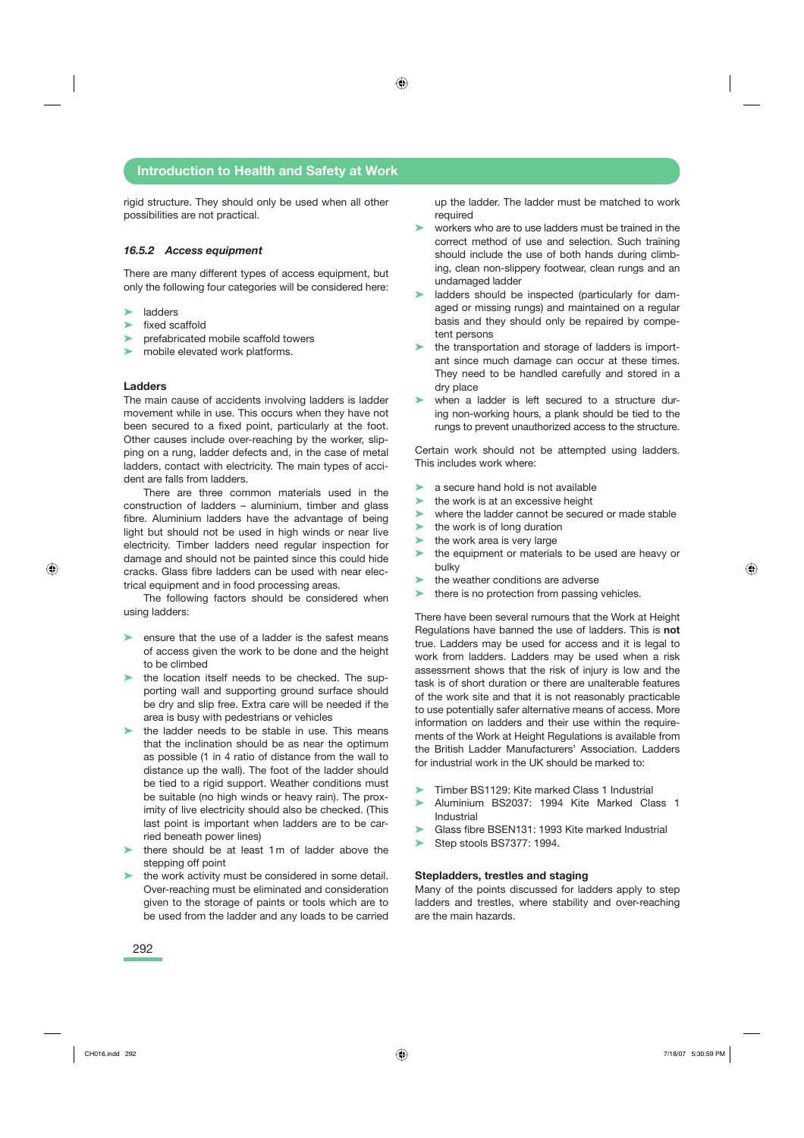◈

rigid structure. They should only be used when all other possibilities are not practical.

## *16.5.2 Access equipment*

There are many different types of access equipment, but only the following four categories will be considered here:

- ladders
- fixed scaffold
- prefabricated mobile scaffold towers
- mobile elevated work platforms.

#### **Ladders**

⊕

The main cause of accidents involving ladders is ladder movement while in use. This occurs when they have not been secured to a fixed point, particularly at the foot. Other causes include over-reaching by the worker, slipping on a rung, ladder defects and, in the case of metal ladders, contact with electricity. The main types of accident are falls from ladders.

There are three common materials used in the construction of ladders – aluminium, timber and glass fibre. Aluminium ladders have the advantage of being light but should not be used in high winds or near live electricity. Timber ladders need regular inspection for damage and should not be painted since this could hide cracks. Glass fibre ladders can be used with near electrical equipment and in food processing areas.

The following factors should be considered when using ladders:

- ensure that the use of a ladder is the safest means of access given the work to be done and the height to be climbed
- the location itself needs to be checked. The supporting wall and supporting ground surface should be dry and slip free. Extra care will be needed if the area is busy with pedestrians or vehicles
- the ladder needs to be stable in use. This means that the inclination should be as near the optimum as possible (1 in 4 ratio of distance from the wall to distance up the wall). The foot of the ladder should be tied to a rigid support. Weather conditions must be suitable (no high winds or heavy rain). The proximity of live electricity should also be checked. (This last point is important when ladders are to be carried beneath power lines)
- there should be at least 1m of ladder above the stepping off point
- the work activity must be considered in some detail. Over-reaching must be eliminated and consideration given to the storage of paints or tools which are to be used from the ladder and any loads to be carried

up the ladder. The ladder must be matched to work required

- workers who are to use ladders must be trained in the correct method of use and selection. Such training should include the use of both hands during climbing, clean non-slippery footwear, clean rungs and an undamaged ladder
- ladders should be inspected (particularly for damaged or missing rungs) and maintained on a regular basis and they should only be repaired by competent persons
- the transportation and storage of ladders is important since much damage can occur at these times. They need to be handled carefully and stored in a dry place
- when a ladder is left secured to a structure during non-working hours, a plank should be tied to the rungs to prevent unauthorized access to the structure.

Certain work should not be attempted using ladders. This includes work where:

- a secure hand hold is not available
- the work is at an excessive height
- where the ladder cannot be secured or made stable
- the work is of long duration
- the work area is very large
- the equipment or materials to be used are heavy or bulky
- the weather conditions are adverse
- there is no protection from passing vehicles.

There have been several rumours that the Work at Height Regulations have banned the use of ladders. This is **not** true. Ladders may be used for access and it is legal to work from ladders. Ladders may be used when a risk assessment shows that the risk of injury is low and the task is of short duration or there are unalterable features of the work site and that it is not reasonably practicable to use potentially safer alternative means of access. More information on ladders and their use within the requirements of the Work at Height Regulations is available from the British Ladder Manufacturers' Association. Ladders for industrial work in the UK should be marked to:

- ➤ Timber BS1129: Kite marked Class 1 Industrial
- ➤ Aluminium BS2037: 1994 Kite Marked Class 1 Industrial
- Glass fibre BSEN131: 1993 Kite marked Industrial
	- Step stools BS7377: 1994.

# **Stepladders, trestles and staging**

Many of the points discussed for ladders apply to step ladders and trestles, where stability and over-reaching are the main hazards.

292

♠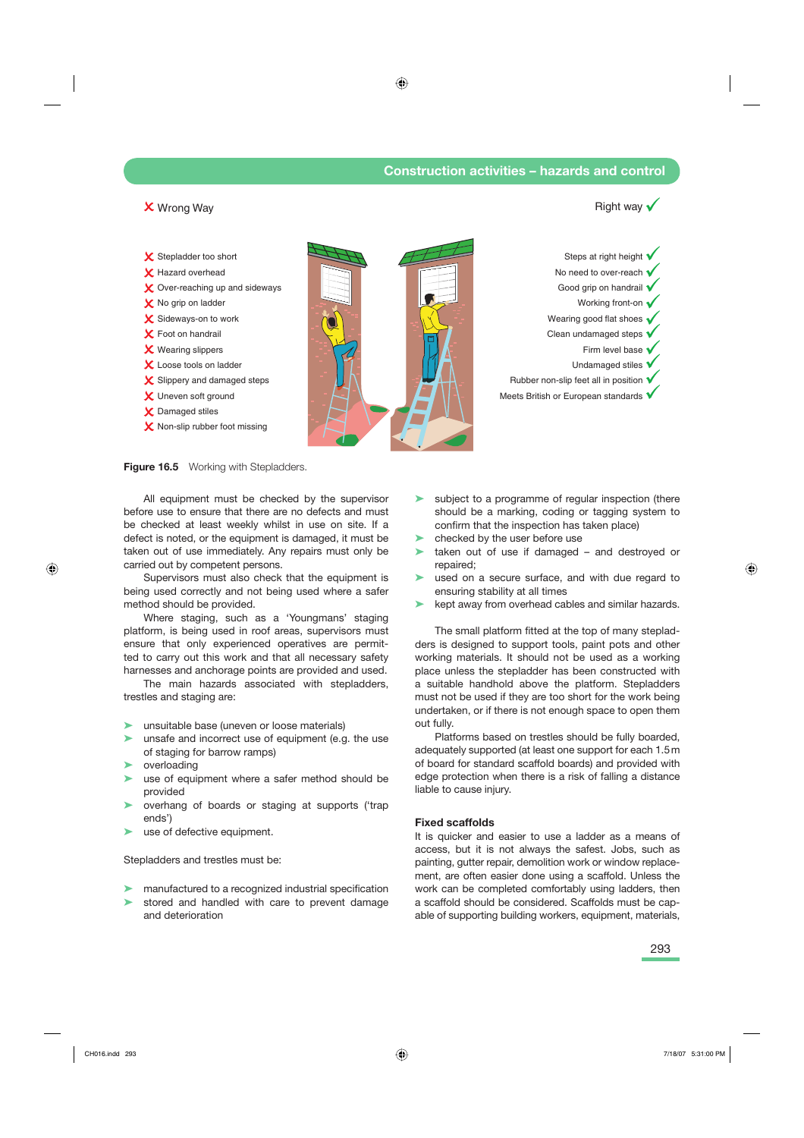Steps at right height  $\sqrt{\ }$ No need to over-reach  $\sqrt{}$ Good grip on handrail  $\sqrt{}$ Working front-on  $\sqrt{}$ 

Wearing good flat shoes  $\sqrt{}$ Clean undamaged steps  $\sqrt{}$ 

Rubber non-slip feet all in position  $\checkmark$ Meets British or European standards  $\checkmark$ 

Firm level base  $\sqrt{}$ Undamaged stiles  $\sqrt$ 

# **X** Wrong Way **Right way**  $\sqrt{ }$

## X Stepladder too short

- **X** Hazard overhead X Over-reaching up and sideways
- X No grip on ladder
- **X** Sideways-on to work
- **X** Foot on handrail
- **X** Wearing slippers
- X Loose tools on ladder
- X Slippery and damaged steps
- Uneven soft ground
- Damaged stiles
- $\times$  Non-slip rubber foot missing



## **Figure 16.5** Working with Stepladders.

All equipment must be checked by the supervisor before use to ensure that there are no defects and must be checked at least weekly whilst in use on site. If a defect is noted, or the equipment is damaged, it must be taken out of use immediately. Any repairs must only be carried out by competent persons.

Supervisors must also check that the equipment is being used correctly and not being used where a safer method should be provided.

Where staging, such as a 'Youngmans' staging platform, is being used in roof areas, supervisors must ensure that only experienced operatives are permitted to carry out this work and that all necessary safety harnesses and anchorage points are provided and used.

The main hazards associated with stepladders, trestles and staging are:

- unsuitable base (uneven or loose materials)
- unsafe and incorrect use of equipment (e.g. the use of staging for barrow ramps)
- overloading

⊕

- use of equipment where a safer method should be provided
- overhang of boards or staging at supports ('trap ends')
- use of defective equipment.

## Stepladders and trestles must be:

manufactured to a recognized industrial specification stored and handled with care to prevent damage and deterioration

- subject to a programme of regular inspection (there should be a marking, coding or tagging system to confirm that the inspection has taken place)
- checked by the user before use
- taken out of use if damaged and destroyed or repaired;
- used on a secure surface, and with due regard to ensuring stability at all times
- kept away from overhead cables and similar hazards.

The small platform fitted at the top of many stepladders is designed to support tools, paint pots and other working materials. It should not be used as a working place unless the stepladder has been constructed with a suitable handhold above the platform. Stepladders must not be used if they are too short for the work being undertaken, or if there is not enough space to open them out fully.

Platforms based on trestles should be fully boarded, adequately supported (at least one support for each 1.5 m of board for standard scaffold boards) and provided with edge protection when there is a risk of falling a distance liable to cause injury.

# **Fixed scaffolds**

It is quicker and easier to use a ladder as a means of access, but it is not always the safest. Jobs, such as painting, gutter repair, demolition work or window replacement, are often easier done using a scaffold. Unless the work can be completed comfortably using ladders, then a scaffold should be considered. Scaffolds must be capable of supporting building workers, equipment, materials,

293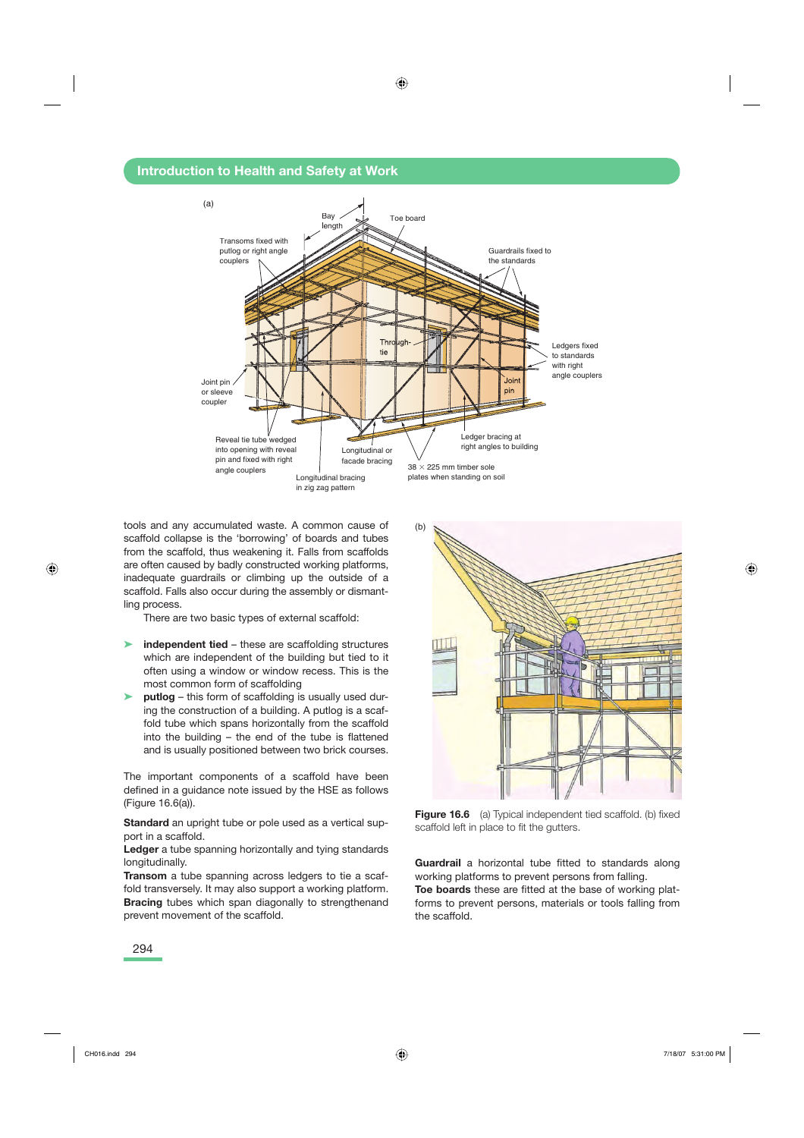#### (a) Bay Toe board length Transoms fixed with Guardrails fixed to putlog or right angle the standards couplers Thr Ledgers fixed tie to standards with right angle couplers .<br>Joint Joint pin pin or sleeve coupler Ledger bracing at Reveal tie tube wedged right angles to building into opening with reveal Longitudinal or pin and fixed with right facade bracing  $38 \times 225$  mm timber sole angle couplers plates when standing on soil Longitudinal bracing in zig zag pattern

tools and any accumulated waste. A common cause of scaffold collapse is the 'borrowing' of boards and tubes from the scaffold, thus weakening it. Falls from scaffolds are often caused by badly constructed working platforms, inadequate guardrails or climbing up the outside of a scaffold. Falls also occur during the assembly or dismantling process.

There are two basic types of external scaffold:

- ➤ **independent tied** these are scaffolding structures which are independent of the building but tied to it often using a window or window recess. This is the most common form of scaffolding
- putlog this form of scaffolding is usually used during the construction of a building. A putlog is a scaffold tube which spans horizontally from the scaffold into the building  $-$  the end of the tube is flattened and is usually positioned between two brick courses.

The important components of a scaffold have been defined in a guidance note issued by the HSE as follows (Figure 16.6(a)).

**Standard** an upright tube or pole used as a vertical support in a scaffold.

**Ledger** a tube spanning horizontally and tying standards longitudinally.

**Transom** a tube spanning across ledgers to tie a scaffold transversely. It may also support a working platform. **Bracing** tubes which span diagonally to strengthenand prevent movement of the scaffold.



Figure 16.6 (a) Typical independent tied scaffold. (b) fixed scaffold left in place to fit the gutters.

**Guardrail** a horizontal tube fitted to standards along working platforms to prevent persons from falling. Toe boards these are fitted at the base of working platforms to prevent persons, materials or tools falling from the scaffold.

294

**Introduction to Health and Safety at Work**

⊕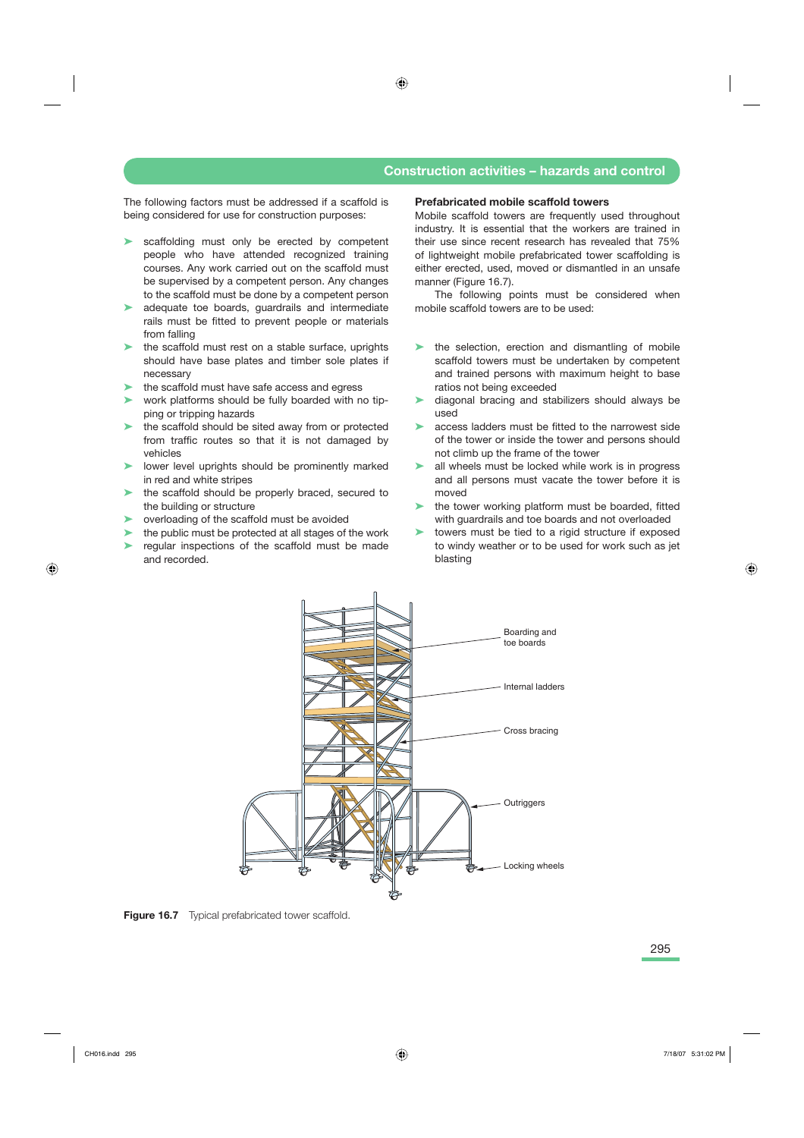The following factors must be addressed if a scaffold is being considered for use for construction purposes:

- scaffolding must only be erected by competent people who have attended recognized training courses. Any work carried out on the scaffold must be supervised by a competent person. Any changes to the scaffold must be done by a competent person
- adequate toe boards, guardrails and intermediate rails must be fitted to prevent people or materials from falling
- the scaffold must rest on a stable surface, uprights should have base plates and timber sole plates if necessary
- the scaffold must have safe access and egress
- work platforms should be fully boarded with no tipping or tripping hazards
- the scaffold should be sited away from or protected from traffic routes so that it is not damaged by vehicles
- lower level uprights should be prominently marked in red and white stripes
- the scaffold should be properly braced, secured to the building or structure
- overloading of the scaffold must be avoided
- the public must be protected at all stages of the work regular inspections of the scaffold must be made and recorded.

## **Prefabricated mobile scaffold towers**

Mobile scaffold towers are frequently used throughout industry. It is essential that the workers are trained in their use since recent research has revealed that 75% of lightweight mobile prefabricated tower scaffolding is either erected, used, moved or dismantled in an unsafe manner (Figure 16.7).

The following points must be considered when mobile scaffold towers are to be used:

- ▶ the selection, erection and dismantling of mobile scaffold towers must be undertaken by competent and trained persons with maximum height to base ratios not being exceeded
- diagonal bracing and stabilizers should always be used
- access ladders must be fitted to the narrowest side of the tower or inside the tower and persons should not climb up the frame of the tower
- all wheels must be locked while work is in progress and all persons must vacate the tower before it is moved
- the tower working platform must be boarded, fitted with guardrails and toe boards and not overloaded
- towers must be tied to a rigid structure if exposed to windy weather or to be used for work such as jet blasting



◈

Figure 16.7 Typical prefabricated tower scaffold.

295

⊕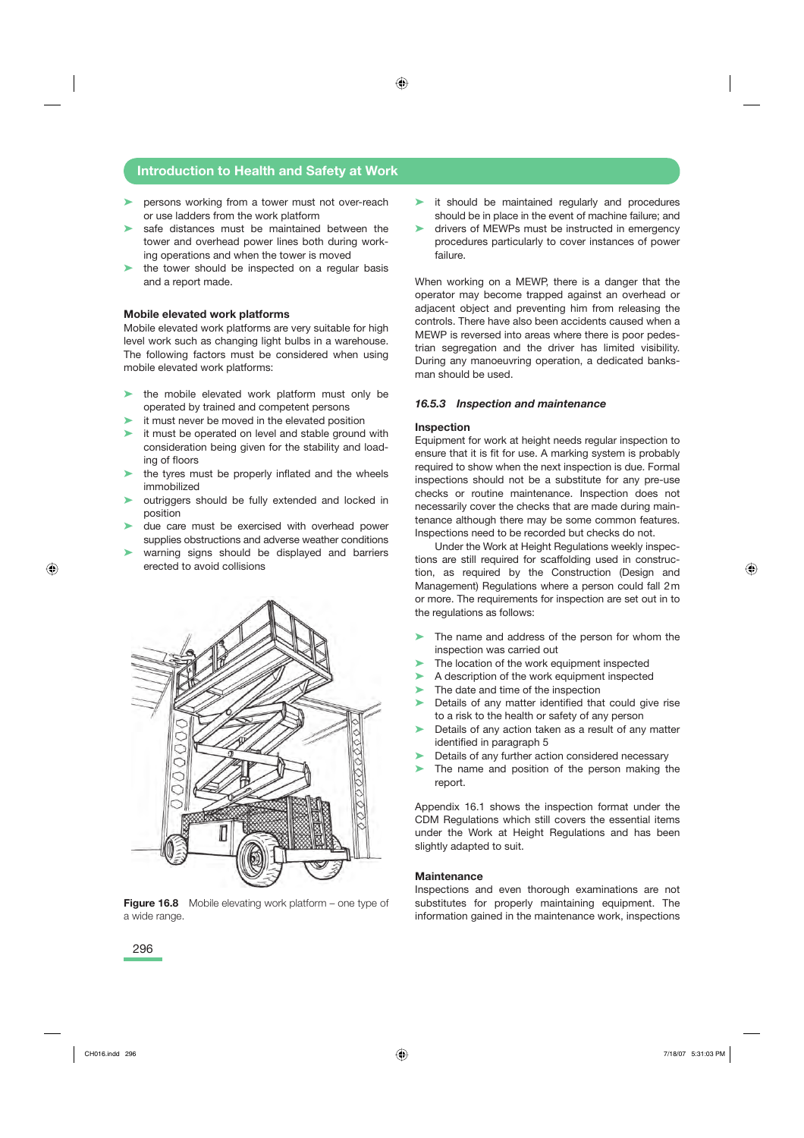- persons working from a tower must not over-reach or use ladders from the work platform
- safe distances must be maintained between the tower and overhead power lines both during working operations and when the tower is moved
- ➤ the tower should be inspected on a regular basis and a report made.

## **Mobile elevated work platforms**

Mobile elevated work platforms are very suitable for high level work such as changing light bulbs in a warehouse. The following factors must be considered when using mobile elevated work platforms:

- the mobile elevated work platform must only be operated by trained and competent persons
- it must never be moved in the elevated position
- it must be operated on level and stable ground with consideration being given for the stability and loading of floors
- the tyres must be properly inflated and the wheels immobilized
- outriggers should be fully extended and locked in position
- due care must be exercised with overhead power supplies obstructions and adverse weather conditions
- warning signs should be displayed and barriers erected to avoid collisions



**Figure 16.8** Mobile elevating work platform – one type of a wide range.

- it should be maintained regularly and procedures should be in place in the event of machine failure; and
- drivers of MEWPs must be instructed in emergency procedures particularly to cover instances of power failure.

When working on a MEWP, there is a danger that the operator may become trapped against an overhead or adjacent object and preventing him from releasing the controls. There have also been accidents caused when a MEWP is reversed into areas where there is poor pedestrian segregation and the driver has limited visibility. During any manoeuvring operation, a dedicated banksman should be used.

## *16.5.3 Inspection and maintenance*

## **Inspection**

⊕

Equipment for work at height needs regular inspection to ensure that it is fit for use. A marking system is probably required to show when the next inspection is due. Formal inspections should not be a substitute for any pre-use checks or routine maintenance. Inspection does not necessarily cover the checks that are made during maintenance although there may be some common features. Inspections need to be recorded but checks do not.

Under the Work at Height Regulations weekly inspections are still required for scaffolding used in construction, as required by the Construction (Design and Management) Regulations where a person could fall 2 m or more. The requirements for inspection are set out in to the regulations as follows:

- The name and address of the person for whom the inspection was carried out
- The location of the work equipment inspected
- ➤ A description of the work equipment inspected
- The date and time of the inspection
- Details of any matter identified that could give rise to a risk to the health or safety of any person
- Details of any action taken as a result of any matter identified in paragraph 5
- Details of any further action considered necessary
- The name and position of the person making the report.

Appendix 16.1 shows the inspection format under the CDM Regulations which still covers the essential items under the Work at Height Regulations and has been slightly adapted to suit.

## **Maintenance**

Inspections and even thorough examinations are not substitutes for properly maintaining equipment. The information gained in the maintenance work, inspections

296

⊕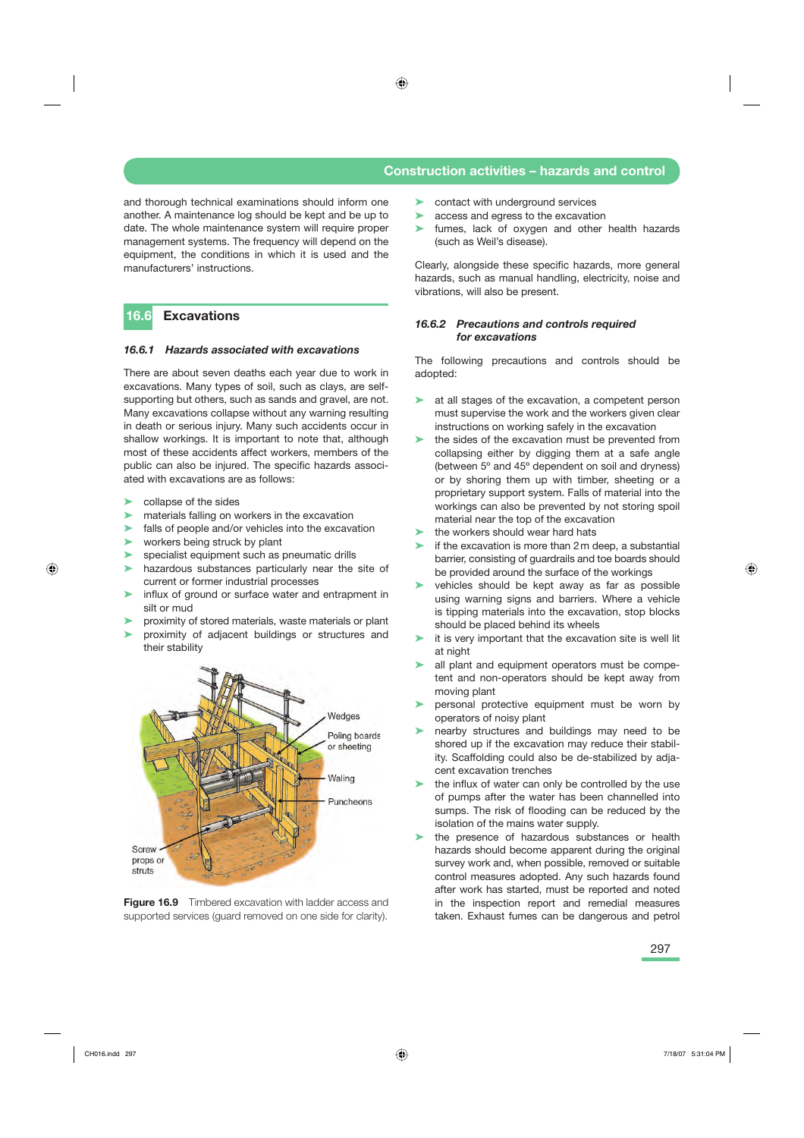and thorough technical examinations should inform one another. A maintenance log should be kept and be up to date. The whole maintenance system will require proper management systems. The frequency will depend on the equipment, the conditions in which it is used and the manufacturers' instructions.

# **16.6 Excavations**

## *16.6.1 Hazards associated with excavations*

There are about seven deaths each year due to work in excavations. Many types of soil, such as clays, are selfsupporting but others, such as sands and gravel, are not. Many excavations collapse without any warning resulting in death or serious injury. Many such accidents occur in shallow workings. It is important to note that, although most of these accidents affect workers, members of the public can also be injured. The specific hazards associated with excavations are as follows:

collapse of the sides

⊕

- materials falling on workers in the excavation
- falls of people and/or vehicles into the excavation
- workers being struck by plant
- specialist equipment such as pneumatic drills
- hazardous substances particularly near the site of current or former industrial processes
- influx of ground or surface water and entrapment in silt or mud
- proximity of stored materials, waste materials or plant proximity of adjacent buildings or structures and



**Figure 16.9** Timbered excavation with ladder access and supported services (guard removed on one side for clarity).

- contact with underground services
- access and egress to the excavation
- ➤ fumes, lack of oxygen and other health hazards (such as Weil's disease).

Clearly, alongside these specific hazards, more general hazards, such as manual handling, electricity, noise and vibrations, will also be present.

## *16.6.2 Precautions and controls required for excavations*

The following precautions and controls should be adopted:

- at all stages of the excavation, a competent person must supervise the work and the workers given clear instructions on working safely in the excavation
- the sides of the excavation must be prevented from collapsing either by digging them at a safe angle (between 5º and 45º dependent on soil and dryness) or by shoring them up with timber, sheeting or a proprietary support system. Falls of material into the workings can also be prevented by not storing spoil material near the top of the excavation
- the workers should wear hard hats
- if the excavation is more than 2 m deep, a substantial barrier, consisting of guardrails and toe boards should be provided around the surface of the workings
- vehicles should be kept away as far as possible using warning signs and barriers. Where a vehicle is tipping materials into the excavation, stop blocks should be placed behind its wheels
- it is very important that the excavation site is well lit at night
- all plant and equipment operators must be competent and non-operators should be kept away from moving plant
- personal protective equipment must be worn by operators of noisy plant
- nearby structures and buildings may need to be shored up if the excavation may reduce their stability. Scaffolding could also be de-stabilized by adjacent excavation trenches
- the influx of water can only be controlled by the use of pumps after the water has been channelled into sumps. The risk of flooding can be reduced by the isolation of the mains water supply.
- the presence of hazardous substances or health hazards should become apparent during the original survey work and, when possible, removed or suitable control measures adopted. Any such hazards found after work has started, must be reported and noted in the inspection report and remedial measures taken. Exhaust fumes can be dangerous and petrol

297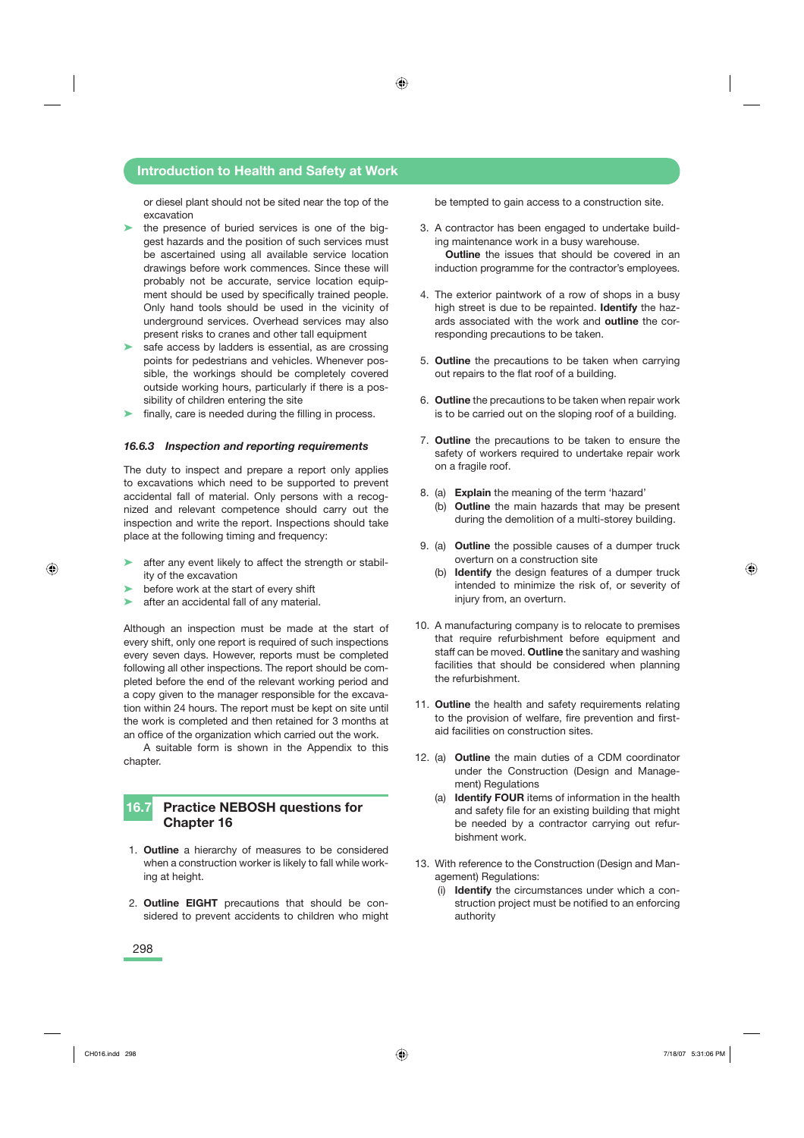◈

or diesel plant should not be sited near the top of the excavation

- ➤ the presence of buried services is one of the biggest hazards and the position of such services must be ascertained using all available service location drawings before work commences. Since these will probably not be accurate, service location equipment should be used by specifically trained people. Only hand tools should be used in the vicinity of underground services. Overhead services may also present risks to cranes and other tall equipment
- safe access by ladders is essential, as are crossing points for pedestrians and vehicles. Whenever possible, the workings should be completely covered outside working hours, particularly if there is a possibility of children entering the site
- finally, care is needed during the filling in process.

## *16.6.3 Inspection and reporting requirements*

The duty to inspect and prepare a report only applies to excavations which need to be supported to prevent accidental fall of material. Only persons with a recognized and relevant competence should carry out the inspection and write the report. Inspections should take place at the following timing and frequency:

- after any event likely to affect the strength or stability of the excavation
- before work at the start of every shift
- after an accidental fall of any material.

Although an inspection must be made at the start of every shift, only one report is required of such inspections every seven days. However, reports must be completed following all other inspections. The report should be completed before the end of the relevant working period and a copy given to the manager responsible for the excavation within 24 hours. The report must be kept on site until the work is completed and then retained for 3 months at an office of the organization which carried out the work.

A suitable form is shown in the Appendix to this chapter.

# **16.7 Practice NEBOSH questions for Chapter 16**

- 1. **Outline** a hierarchy of measures to be considered when a construction worker is likely to fall while working at height.
- 2. **Outline EIGHT** precautions that should be considered to prevent accidents to children who might

be tempted to gain access to a construction site.

- 3. A contractor has been engaged to undertake building maintenance work in a busy warehouse. **Outline** the issues that should be covered in an induction programme for the contractor's employees.
- 4. The exterior paintwork of a row of shops in a busy high street is due to be repainted. **Identify** the hazards associated with the work and **outline** the corresponding precautions to be taken.
- 5. **Outline** the precautions to be taken when carrying out repairs to the flat roof of a building.
- 6. **Outline** the precautions to be taken when repair work is to be carried out on the sloping roof of a building.
- 7. **Outline** the precautions to be taken to ensure the safety of workers required to undertake repair work on a fragile roof.
- 8. (a) **Explain** the meaning of the term 'hazard' (b) **Outline** the main hazards that may be present during the demolition of a multi-storey building.
- 9. (a) **Outline** the possible causes of a dumper truck overturn on a construction site
	- (b) **Identify** the design features of a dumper truck intended to minimize the risk of, or severity of injury from, an overturn.
- 10. A manufacturing company is to relocate to premises that require refurbishment before equipment and staff can be moved. **Outline** the sanitary and washing facilities that should be considered when planning the refurbishment.
- 11. **Outline** the health and safety requirements relating to the provision of welfare, fire prevention and firstaid facilities on construction sites.
- 12. (a) **Outline** the main duties of a CDM coordinator under the Construction (Design and Management) Regulations
	- (a) **Identify FOUR** items of information in the health and safety file for an existing building that might be needed by a contractor carrying out refurbishment work.
- 13. With reference to the Construction (Design and Management) Regulations:
	- Identify the circumstances under which a construction project must be notified to an enforcing authority

298

⊕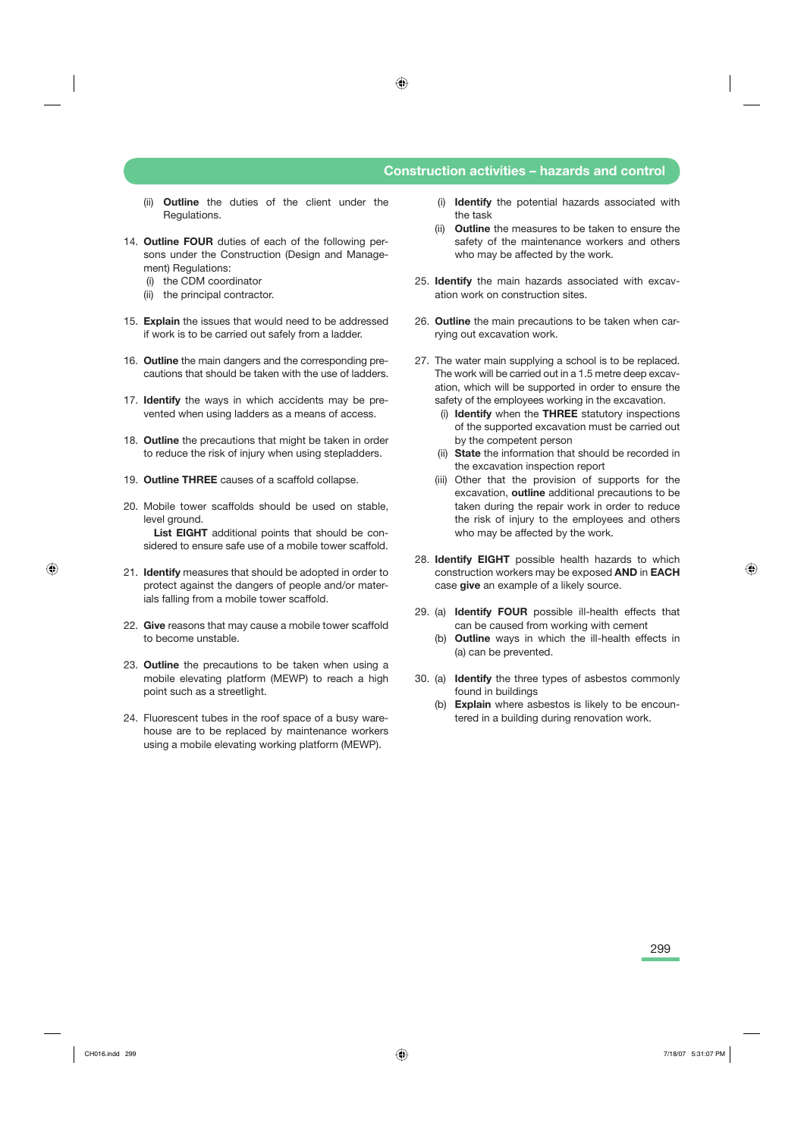- (ii) **Outline** the duties of the client under the Regulations.
- 14. **Outline FOUR** duties of each of the following persons under the Construction (Design and Management) Regulations:
	- (i) the CDM coordinator
	- (ii) the principal contractor.
- 15. **Explain** the issues that would need to be addressed if work is to be carried out safely from a ladder.
- 16. **Outline** the main dangers and the corresponding precautions that should be taken with the use of ladders.
- 17. **Identify** the ways in which accidents may be prevented when using ladders as a means of access.
- 18. **Outline** the precautions that might be taken in order to reduce the risk of injury when using stepladders.
- 19. **Outline THREE** causes of a scaffold collapse.
- 20. Mobile tower scaffolds should be used on stable, level ground.

 **List EIGHT** additional points that should be considered to ensure safe use of a mobile tower scaffold.

- 21. **Identify** measures that should be adopted in order to protect against the dangers of people and/or materials falling from a mobile tower scaffold.
- 22. **Give** reasons that may cause a mobile tower scaffold to become unstable.
- 23. **Outline** the precautions to be taken when using a mobile elevating platform (MEWP) to reach a high point such as a streetlight.
- 24. Fluorescent tubes in the roof space of a busy warehouse are to be replaced by maintenance workers using a mobile elevating working platform (MEWP).
- (i) **Identify** the potential hazards associated with the task
- (ii) **Outline** the measures to be taken to ensure the safety of the maintenance workers and others who may be affected by the work.
- 25. **Identify** the main hazards associated with excavation work on construction sites.
- 26. **Outline** the main precautions to be taken when carrying out excavation work.
- 27. The water main supplying a school is to be replaced. The work will be carried out in a 1.5 metre deep excavation, which will be supported in order to ensure the safety of the employees working in the excavation.
	- (i) **Identify** when the **THREE** statutory inspections of the supported excavation must be carried out by the competent person
	- (ii) **State** the information that should be recorded in the excavation inspection report
	- (iii) Other that the provision of supports for the excavation, **outline** additional precautions to be taken during the repair work in order to reduce the risk of injury to the employees and others who may be affected by the work.
- 28. **Identify EIGHT** possible health hazards to which construction workers may be exposed **AND** in **EACH** case **give** an example of a likely source.
- 29. (a) **Identify FOUR** possible ill-health effects that can be caused from working with cement
	- (b) **Outline** ways in which the ill-health effects in (a) can be prevented.
- 30. (a) **Identify** the three types of asbestos commonly found in buildings
	- (b) **Explain** where asbestos is likely to be encountered in a building during renovation work.

299

◈

⊕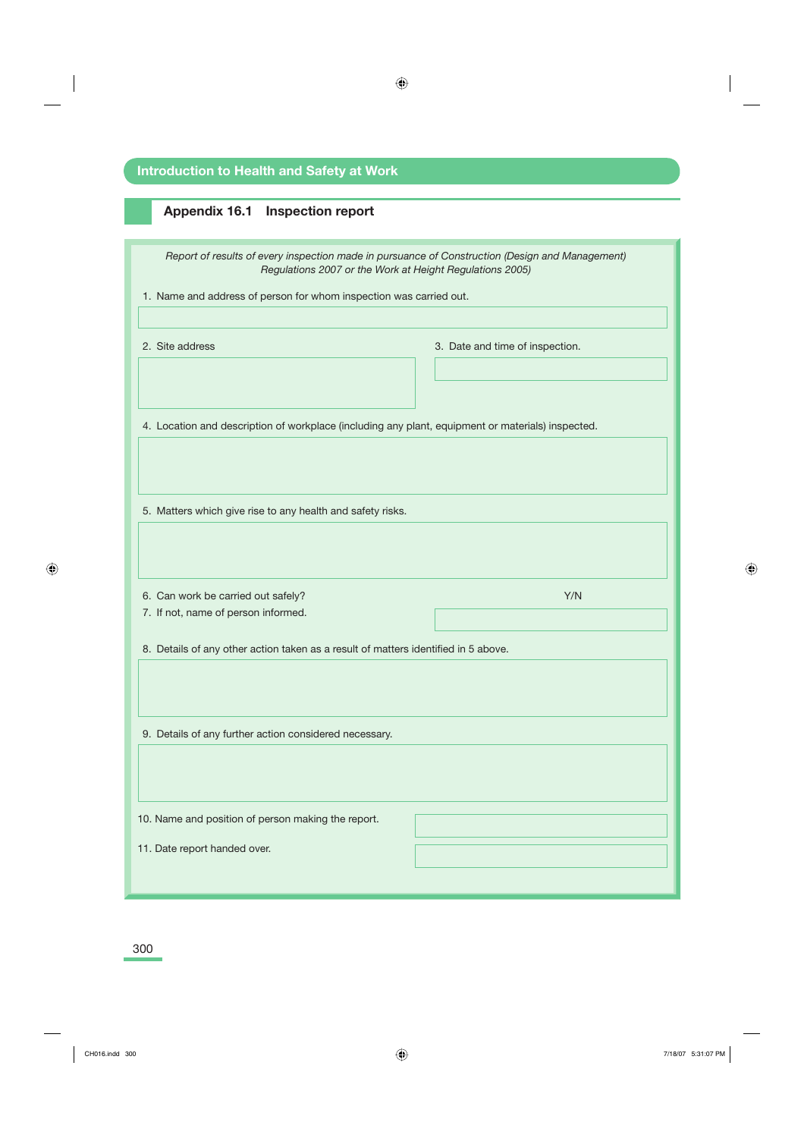| <b>Introduction to Health and Safety at Work</b>                                                                                                            |                                 |
|-------------------------------------------------------------------------------------------------------------------------------------------------------------|---------------------------------|
| Appendix 16.1 Inspection report                                                                                                                             |                                 |
| Report of results of every inspection made in pursuance of Construction (Design and Management)<br>Regulations 2007 or the Work at Height Regulations 2005) |                                 |
| 1. Name and address of person for whom inspection was carried out.                                                                                          |                                 |
| 2. Site address                                                                                                                                             | 3. Date and time of inspection. |
| 4. Location and description of workplace (including any plant, equipment or materials) inspected.                                                           |                                 |
| 5. Matters which give rise to any health and safety risks.                                                                                                  |                                 |
| 6. Can work be carried out safely?<br>7. If not, name of person informed.                                                                                   | Y/N                             |
| 8. Details of any other action taken as a result of matters identified in 5 above.                                                                          |                                 |
|                                                                                                                                                             |                                 |
| 9. Details of any further action considered necessary.                                                                                                      |                                 |
| 10. Name and position of person making the report.                                                                                                          |                                 |
| 11. Date report handed over.                                                                                                                                |                                 |

 $\bigoplus$ 

300

 $\overline{\phantom{a}}$ 

 $\bigoplus$ 

 $\overline{\phantom{a}}$ 

 $\bigoplus$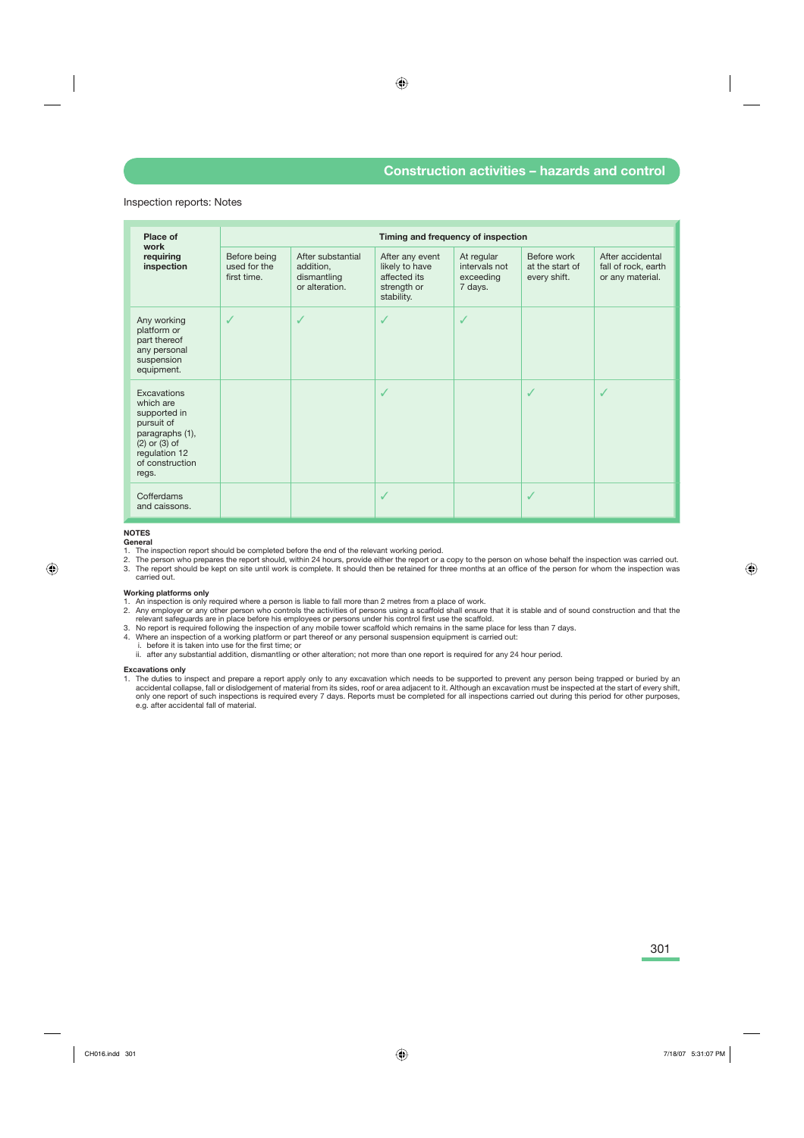Inspection reports: Notes

| Place of                                                                                                                                    |                                             |                                                                 | Timing and frequency of inspection                                             |                                                     |                                                |                                                             |
|---------------------------------------------------------------------------------------------------------------------------------------------|---------------------------------------------|-----------------------------------------------------------------|--------------------------------------------------------------------------------|-----------------------------------------------------|------------------------------------------------|-------------------------------------------------------------|
| work<br>requiring<br>inspection                                                                                                             | Before being<br>used for the<br>first time. | After substantial<br>addition,<br>dismantling<br>or alteration. | After any event<br>likely to have<br>affected its<br>strength or<br>stability. | At regular<br>intervals not<br>exceeding<br>7 days. | Before work<br>at the start of<br>every shift. | After accidental<br>fall of rock, earth<br>or any material. |
| Any working<br>platform or<br>part thereof<br>any personal<br>suspension<br>equipment.                                                      | $\checkmark$                                | $\checkmark$                                                    | ✓                                                                              | ✓                                                   |                                                |                                                             |
| Excavations<br>which are<br>supported in<br>pursuit of<br>paragraphs (1),<br>$(2)$ or $(3)$ of<br>regulation 12<br>of construction<br>regs. |                                             |                                                                 | $\checkmark$                                                                   |                                                     | $\checkmark$                                   | $\checkmark$                                                |
| Cofferdams<br>and caissons.                                                                                                                 |                                             |                                                                 | ✓                                                                              |                                                     | $\checkmark$                                   |                                                             |

#### **NOTES General**

⊕

- 
- 1. The inspection report should be completed before the end of the relevant working period.<br>2. The person who prepares the report should, within 24 hours, provide either the report or a copy to the person on whose behalf t 3. The report should be kept on site until work is complete. It should then be retained for three months at an office of the person for whom the inspection was carried out.

#### **Working platforms only**

- 1. An inspection is only required where a person is liable to fall more than 2 metres from a place of work.
- 2. Any employer or any other person who controls the activities of persons using a scaffold shall ensure that it is stable and of sound construction and that the relevant safeguards are in place before his employees or persons under his control first use the scaffold.
- 3. No report is required following the inspection of any mobile tower scaffold which remains in the same place for less than 7 days.
- 4. Where an inspection of a working platform or part thereof or any personal suspension equipment is carried out:
- i. before it is taken into use for the first time; or ii. after any substantial addition, dismantling or other alteration; not more than one report is required for any 24 hour period.

#### **Excavations only**

1. The duties to inspect and prepare a report apply only to any excavation which needs to be supported to prevent any person being trapped or buried by an accidental collapse, fall or dislodgement of material from its sides, roof or area adjacent to it. Although an excavation must be inspected at the start of every shift, only one report of such inspections is required every 7 days. Reports must be completed for all inspections carried out during this period for other purposes, e.g. after accidental fall of material.

301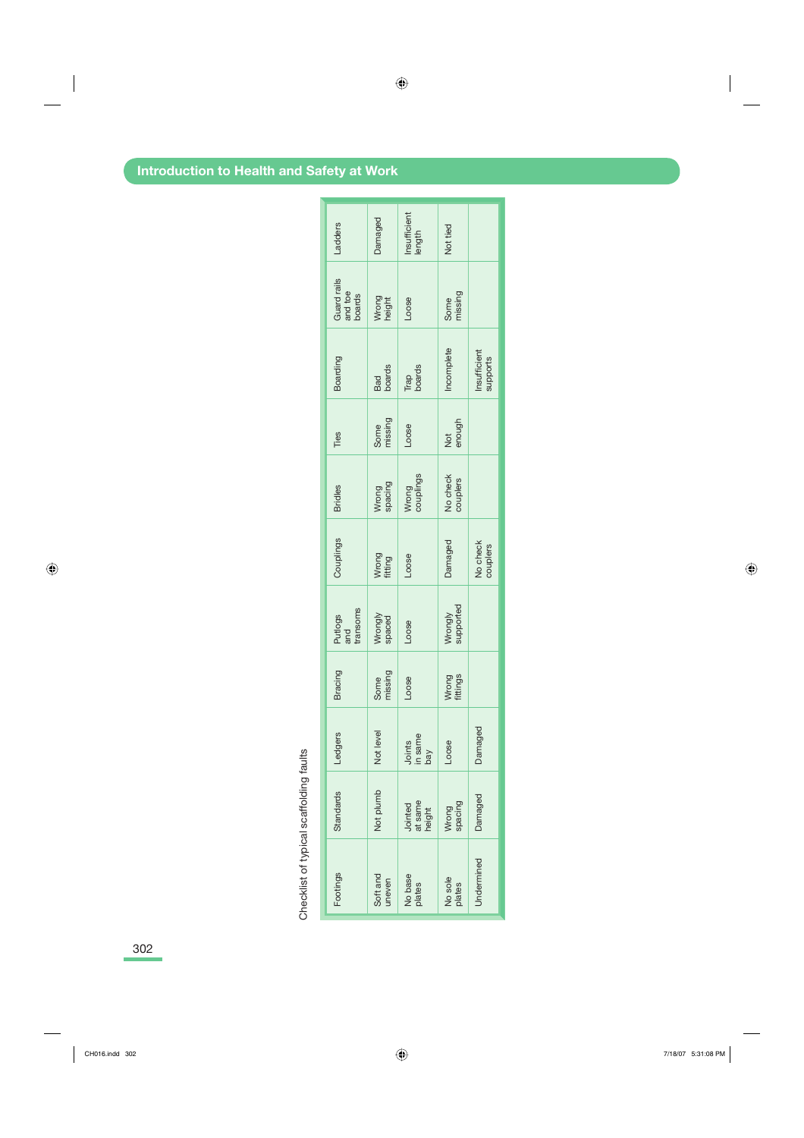|                    | Checklist of typical scaffolding faults |                          |                   |                            |                      |                      |                 |                          |                                  |                        |
|--------------------|-----------------------------------------|--------------------------|-------------------|----------------------------|----------------------|----------------------|-----------------|--------------------------|----------------------------------|------------------------|
| Footings           | <b>Standards</b>                        | Ledgers                  | <b>Bracing</b>    | transoms<br>Putlogs<br>and | Couplings            | <b>Bridles</b>       | Ties            | Boarding                 | Guard rails<br>and toe<br>boards | Ladders                |
| Soft and<br>uneven | Not plumb                               | Not level                | Some<br>missing   | Wrongly<br>spaced          | Wrong<br>fitting     | Wrong<br>spacing     | Some<br>missing | Bad<br>boards            | Wrong<br>height                  | Damaged                |
| No base<br>plates  | at same<br>height<br>Jointed            | Joints<br>in same<br>Veq | Loose             | Loose                      | Loose                | Wrong<br>couplings   | Loose           | Trap<br>boards           | Loose                            | Insufficient<br>length |
| No sole<br>plates  | Wrong<br>spacing                        | $-00S0$                  | Wrong<br>fittings | Wrongly<br>supported       | Damaged              | No check<br>couplers | Not<br>enough   | Incomplete               | Some<br>missing                  | Not tied               |
| Undermined         | Damaged                                 | Damaged                  |                   |                            | No check<br>couplers |                      |                 | Insufficient<br>supports |                                  |                        |

 $\bigoplus$ 

**Introduction to Health and Safety at Work**

 $\overline{\phantom{a}}$ 

 $\bigoplus$ 

302

 $\overline{\phantom{a}}$ 

 $\bigoplus$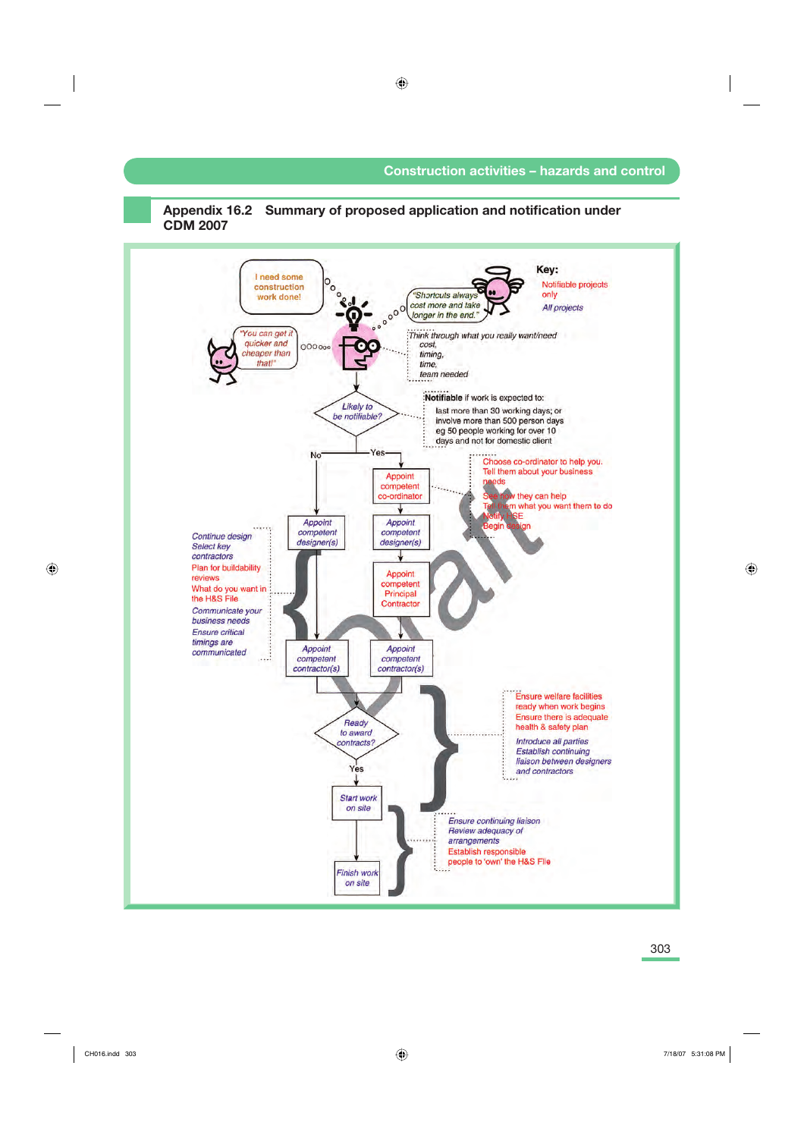# Appendix 16.2 Summary of proposed application and notification under **CDM 2007**

 $\bigoplus$ 



303

 $\bigoplus$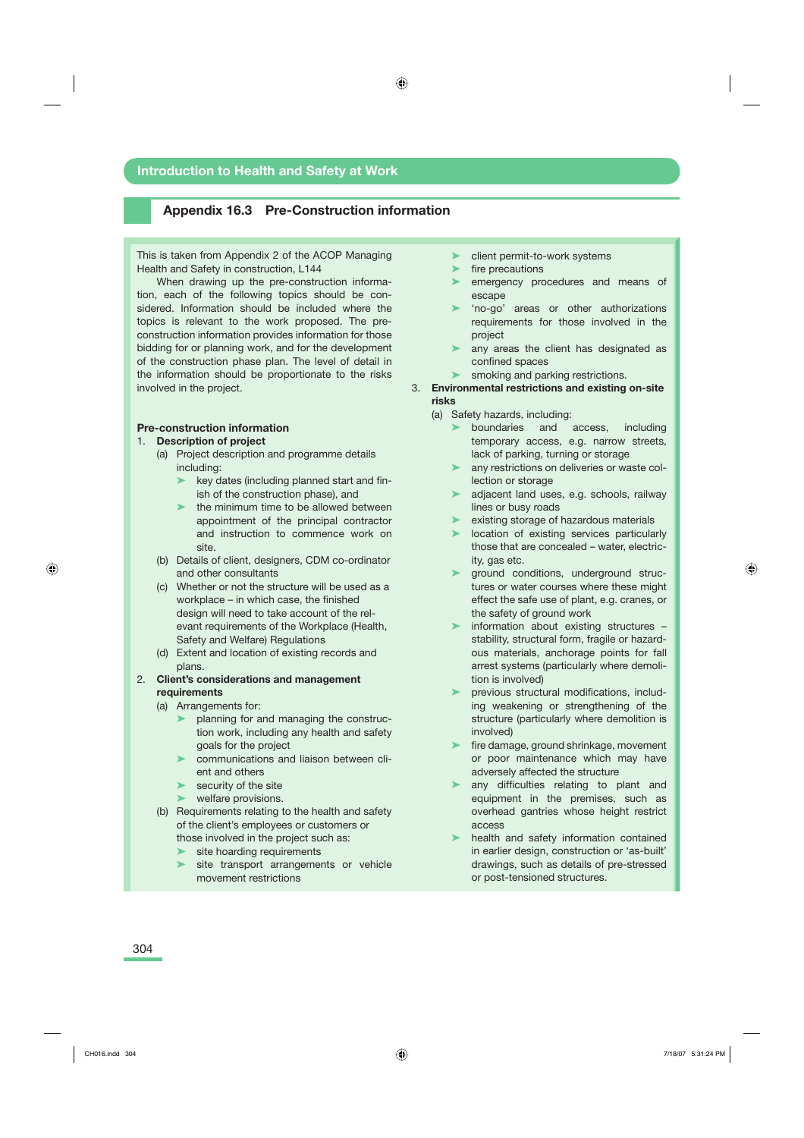# **Appendix 16.3 Pre-Construction information**

◈

This is taken from Appendix 2 of the ACOP Managing Health and Safety in construction, L144

When drawing up the pre-construction information, each of the following topics should be considered. Information should be included where the topics is relevant to the work proposed. The preconstruction information provides information for those bidding for or planning work, and for the development of the construction phase plan. The level of detail in the information should be proportionate to the risks involved in the project.

## **Pre-construction information**

## 1. **Description of project**

- (a) Project description and programme details including:
	- key dates (including planned start and finish of the construction phase), and
	- the minimum time to be allowed between appointment of the principal contractor and instruction to commence work on site.
- (b) Details of client, designers, CDM co-ordinator and other consultants
- (c) Whether or not the structure will be used as a workplace  $-$  in which case, the finished design will need to take account of the relevant requirements of the Workplace (Health, Safety and Welfare) Regulations
- (d) Extent and location of existing records and plans.

## 2. **Client's considerations and management requirements**

- (a) Arrangements for:
	- planning for and managing the construction work, including any health and safety goals for the project
	- communications and liaison between client and others
	- security of the site
	- welfare provisions.
- (b) Requirements relating to the health and safety of the client's employees or customers or those involved in the project such as:
	- site hoarding requirements
	-
	- site transport arrangements or vehicle movement restrictions
- client permit-to-work systems
- fire precautions
- emergency procedures and means of escape
- ➤ 'no-go' areas or other authorizations requirements for those involved in the project
- any areas the client has designated as confined spaces
- smoking and parking restrictions.

## 3. **Environmental restrictions and existing on-site risks**

## (a) Safety hazards, including:

- boundaries and access, including temporary access, e.g. narrow streets, lack of parking, turning or storage
- any restrictions on deliveries or waste collection or storage
- adjacent land uses, e.g. schools, railway lines or busy roads
- existing storage of hazardous materials
- location of existing services particularly those that are concealed – water, electricity, gas etc.
- ➤ ground conditions, underground structures or water courses where these might effect the safe use of plant, e.g. cranes, or the safety of ground work
- information about existing structures stability, structural form, fragile or hazardous materials, anchorage points for fall arrest systems (particularly where demolition is involved)
- previous structural modifications, including weakening or strengthening of the structure (particularly where demolition is involved)
- fire damage, ground shrinkage, movement or poor maintenance which may have adversely affected the structure
- any difficulties relating to plant and equipment in the premises, such as overhead gantries whose height restrict access
- health and safety information contained in earlier design, construction or 'as-built' drawings, such as details of pre-stressed or post-tensioned structures.

# 304

⊕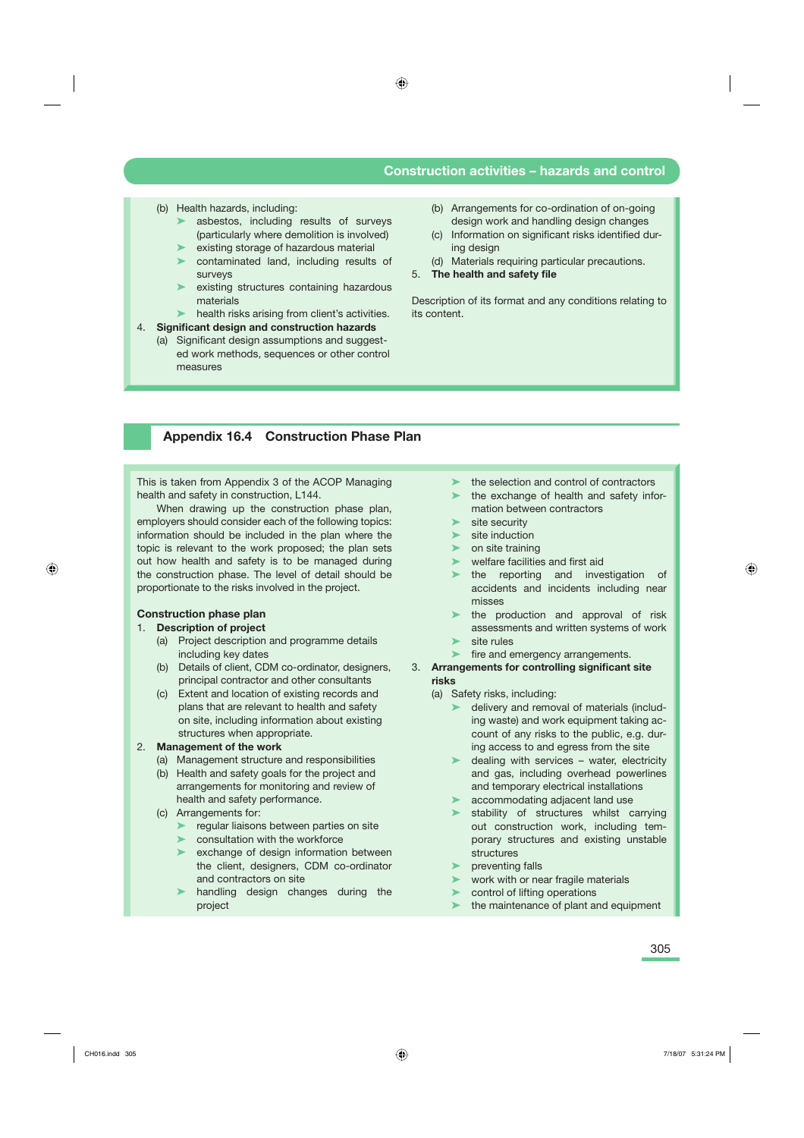- (b) Health hazards, including:
	- asbestos, including results of surveys (particularly where demolition is involved) existing storage of hazardous material
	- contaminated land, including results of surveys
	- existing structures containing hazardous materials
	- health risks arising from client's activities.

4. Significant design and construction hazards

- (a) Significant design assumptions and suggested work methods, sequences or other control measures
- (b) Arrangements for co-ordination of on-going design work and handling design changes
- (c) Information on significant risks identified during design
- (d) Materials requiring particular precautions.
- 5. **The health and safety file**

◈

Description of its format and any conditions relating to its content.

# **Appendix 16.4 Construction Phase Plan**

This is taken from Appendix 3 of the ACOP Managing health and safety in construction, L144.

When drawing up the construction phase plan, employers should consider each of the following topics: information should be included in the plan where the topic is relevant to the work proposed; the plan sets out how health and safety is to be managed during the construction phase. The level of detail should be proportionate to the risks involved in the project.

# **Construction phase plan**

- 1. **Description of project**
	- (a) Project description and programme details including key dates
	- (b) Details of client, CDM co-ordinator, designers, principal contractor and other consultants
	- Extent and location of existing records and plans that are relevant to health and safety on site, including information about existing structures when appropriate.

## 2. **Management of the work**

- (a) Management structure and responsibilities
- (b) Health and safety goals for the project and arrangements for monitoring and review of health and safety performance.
- (c) Arrangements for:
	- regular liaisons between parties on site
	- consultation with the workforce
	- exchange of design information between the client, designers, CDM co-ordinator and contractors on site
	- handling design changes during the project
- the selection and control of contractors the exchange of health and safety information between contractors
- site security
- site induction
- on site training
- welfare facilities and first aid
- the reporting and investigation of accidents and incidents including near misses
- the production and approval of risk assessments and written systems of work site rules
- fire and emergency arrangements.
- 3. Arrangements for controlling significant site **risks**
	- (a) Safety risks, including:
		- delivery and removal of materials (including waste) and work equipment taking account of any risks to the public, e.g. during access to and egress from the site
		- dealing with services water, electricity and gas, including overhead powerlines and temporary electrical installations
		- accommodating adjacent land use
		- stability of structures whilst carrying out construction work, including temporary structures and existing unstable structures
		- preventing falls
		- work with or near fragile materials
		- control of lifting operations
		- the maintenance of plant and equipment

305

⊕